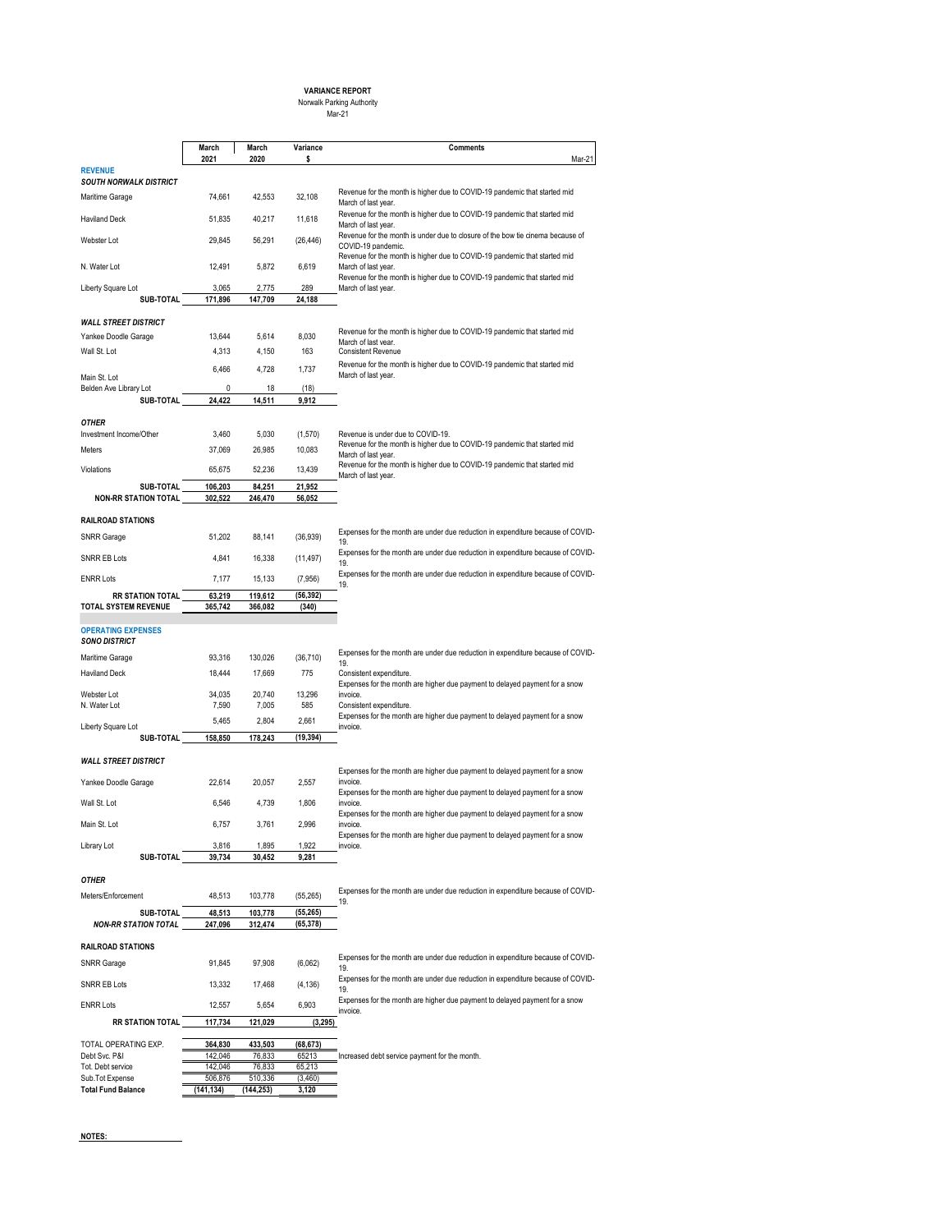# **VARIANCE REPORT** Norwalk Parking Authority Mar-21

|                                            | March<br>2021      | March<br>2020     | Variance<br>s      | <b>Comments</b><br>Mar-21                                                                            |
|--------------------------------------------|--------------------|-------------------|--------------------|------------------------------------------------------------------------------------------------------|
| <b>REVENUE</b><br>SOUTH NORWALK DISTRICT   |                    |                   |                    |                                                                                                      |
| Maritime Garage                            | 74,661             | 42,553            | 32,108             | Revenue for the month is higher due to COVID-19 pandemic that started mid<br>March of last year.     |
| <b>Haviland Deck</b>                       | 51,835             | 40.217            | 11,618             | Revenue for the month is higher due to COVID-19 pandemic that started mid<br>March of last year.     |
| Webster Lot                                | 29,845             | 56,291            | (26, 446)          | Revenue for the month is under due to closure of the bow tie cinema because of<br>COVID-19 pandemic. |
| N. Water Lot                               | 12,491             | 5,872             | 6,619              | Revenue for the month is higher due to COVID-19 pandemic that started mid<br>March of last year.     |
| Liberty Square Lot<br>SUB-TOTAL            | 3,065<br>171,896   | 2,775<br>147,709  | 289<br>24,188      | Revenue for the month is higher due to COVID-19 pandemic that started mid<br>March of last year.     |
|                                            |                    |                   |                    |                                                                                                      |
| <b>WALL STREET DISTRICT</b>                |                    |                   |                    | Revenue for the month is higher due to COVID-19 pandemic that started mid                            |
| Yankee Doodle Garage                       | 13,644             | 5,614             | 8,030              | March of last vear.                                                                                  |
| Wall St. Lot                               | 4,313              | 4,150             | 163                | <b>Consistent Revenue</b>                                                                            |
| Main St. Lot                               | 6,466              | 4,728             | 1,737              | Revenue for the month is higher due to COVID-19 pandemic that started mid<br>March of last year.     |
| Belden Ave Library Lot                     | 0                  | 18                | (18)               |                                                                                                      |
| SUB-TOTAL                                  | 24,422             | 14,511            | 9,912              |                                                                                                      |
| OTHER                                      |                    |                   |                    |                                                                                                      |
| Investment Income/Other                    | 3,460              | 5,030             | (1,570)            | Revenue is under due to COVID-19.                                                                    |
| Meters                                     | 37,069             | 26,985            | 10,083             | Revenue for the month is higher due to COVID-19 pandemic that started mid<br>March of last year.     |
| Violations                                 | 65,675             | 52,236            | 13,439             | Revenue for the month is higher due to COVID-19 pandemic that started mid<br>March of last year.     |
| <b>SUB-TOTAL</b>                           | 106,203            | 84,251            | 21,952             |                                                                                                      |
| <b>NON-RR STATION TOTAL</b>                | 302,522            | 246,470           | 56,052             |                                                                                                      |
| <b>RAILROAD STATIONS</b>                   |                    |                   |                    |                                                                                                      |
| <b>SNRR Garage</b>                         | 51,202             | 88,141            | (36, 939)          | Expenses for the month are under due reduction in expenditure because of COVID-                      |
| SNRR EB Lots                               | 4,841              | 16,338            | (11, 497)          | 19.<br>Expenses for the month are under due reduction in expenditure because of COVID-               |
| <b>ENRR Lots</b>                           | 7,177              | 15,133            | (7, 956)           | 19.<br>Expenses for the month are under due reduction in expenditure because of COVID-               |
| <b>RR STATION TOTAL</b>                    | 63,219             | 119,612           | (56, 392)          | 19.                                                                                                  |
| <b>TOTAL SYSTEM REVENUE</b>                | 365,742            | 366,082           | (340)              |                                                                                                      |
| <b>OPERATING EXPENSES</b><br>SONO DISTRICT |                    |                   |                    |                                                                                                      |
| Maritime Garage                            | 93,316             | 130,026           | (36, 710)          | Expenses for the month are under due reduction in expenditure because of COVID-                      |
| Haviland Deck                              | 18,444             | 17,669            | 775                | 19.<br>Consistent expenditure.                                                                       |
|                                            |                    |                   |                    | Expenses for the month are higher due payment to delayed payment for a snow                          |
| Webster Lot<br>N. Water Lot                | 34,035<br>7,590    | 20,740<br>7,005   | 13,296<br>585      | invoice.<br>Consistent expenditure.                                                                  |
|                                            | 5,465              | 2,804             | 2,661              | Expenses for the month are higher due payment to delayed payment for a snow                          |
| Liberty Square Lot<br>SUB-TOTAL            | 158,850            | 178,243           | (19, 394)          | invoice.                                                                                             |
| <b>WALL STREET DISTRICT</b>                |                    |                   |                    |                                                                                                      |
| Yankee Doodle Garage                       | 22,614             | 20,057            | 2,557              | Expenses for the month are higher due payment to delayed payment for a snow<br>invoice.              |
| Wall St. Lot                               | 6,546              | 4,739             | 1,806              | Expenses for the month are higher due payment to delayed payment for a snow<br>invoice.              |
| Main St. Lot                               | 6,757              | 3,761             | 2,996              | Expenses for the month are higher due payment to delayed payment for a snow<br>invoice.              |
|                                            |                    |                   |                    | Expenses for the month are higher due payment to delayed payment for a snow                          |
| Library Lot<br>SUB-TOTAL                   | 3,816<br>39,734    | 1,895<br>30,452   | 1,922<br>9,281     | invoice.                                                                                             |
|                                            |                    |                   |                    |                                                                                                      |
| OTHER<br>Meters/Enforcement                | 48,513             | 103,778           | (55, 265)          | Expenses for the month are under due reduction in expenditure because of COVID-                      |
| SUB-TOTAL                                  | 48,513             | 103,778           | (55, 265)          | 19.                                                                                                  |
| <b>NON-RR STATION TOTAL</b>                | 247,096            | 312,474           | (65, 378)          |                                                                                                      |
| <b>RAILROAD STATIONS</b>                   |                    |                   |                    |                                                                                                      |
| <b>SNRR Garage</b>                         | 91,845             | 97,908            | (6,062)            | Expenses for the month are under due reduction in expenditure because of COVID-                      |
|                                            |                    |                   |                    | 19.<br>Expenses for the month are under due reduction in expenditure because of COVID-               |
| SNRR EB Lots                               | 13,332             | 17,468            | (4, 136)           | 19.<br>Expenses for the month are higher due payment to delayed payment for a snow                   |
| <b>ENRR Lots</b>                           | 12,557             | 5,654             | 6,903              | invoice.                                                                                             |
| <b>RR STATION TOTAL</b>                    | 117,734            | 121,029           | (3, 295)           |                                                                                                      |
| TOTAL OPERATING EXP.                       | 364,830            | 433,503           | (68, 673)          |                                                                                                      |
| Debt Svc. P&I                              | 142,046            | 76,833            | 65213              | Increased debt service payment for the month.                                                        |
| Tot. Debt service<br>Sub.Tot Expense       | 142,046<br>506,876 | 76,833<br>510,336 | 65,213<br>(3, 460) |                                                                                                      |
| <b>Total Fund Balance</b>                  | (141, 134)         | (144, 253)        | 3,120              |                                                                                                      |
|                                            |                    |                   |                    |                                                                                                      |

**NOTES:**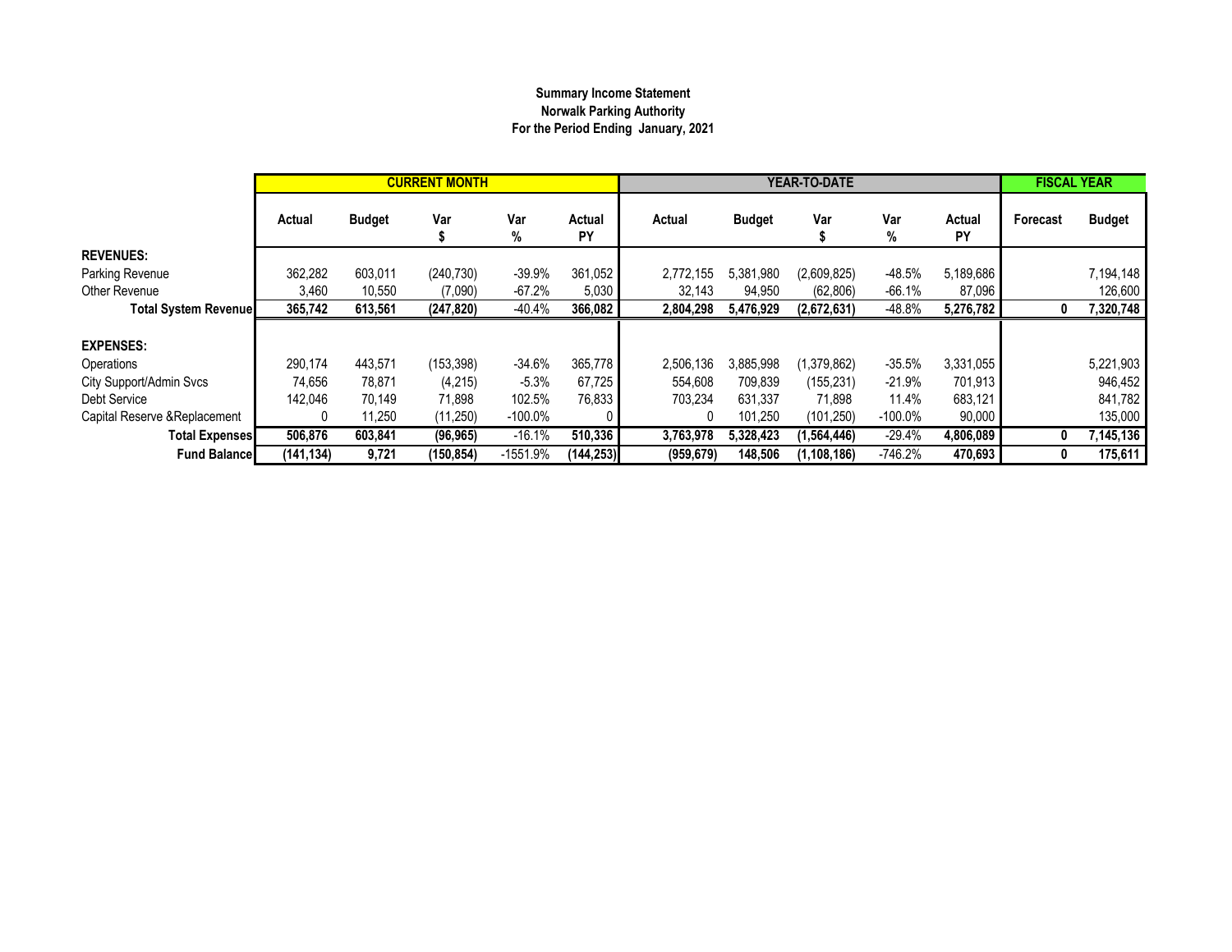# **Summary Income Statement Norwalk Parking Authority For the Period Ending January, 2021**

|                               |            |               | <b>CURRENT MONTH</b> |            |              |            | YEAR-TO-DATE  |             | <b>FISCAL YEAR</b> |              |          |               |
|-------------------------------|------------|---------------|----------------------|------------|--------------|------------|---------------|-------------|--------------------|--------------|----------|---------------|
|                               | Actual     | <b>Budget</b> | Var                  | Var<br>%   | Actual<br>PY | Actual     | <b>Budget</b> | Var         | Var<br>%           | Actual<br>PY | Forecast | <b>Budget</b> |
| <b>REVENUES:</b>              |            |               |                      |            |              |            |               |             |                    |              |          |               |
| Parking Revenue               | 362,282    | 603,011       | (240, 730)           | $-39.9%$   | 361,052      | 2,772,155  | 5,381,980     | (2,609,825) | $-48.5%$           | 5,189,686    |          | 7,194,148     |
| Other Revenue                 | 3,460      | 10,550        | (7,090)              | $-67.2%$   | 5,030        | 32,143     | 94,950        | (62, 806)   | $-66.1%$           | 87,096       |          | 126,600       |
| <b>Total System Revenuel</b>  | 365,742    | 613,561       | (247, 820)           | $-40.4%$   | 366,082      | 2,804,298  | 5,476,929     | (2,672,631) | $-48.8%$           | 5,276,782    | 0        | 7,320,748     |
|                               |            |               |                      |            |              |            |               |             |                    |              |          |               |
| <b>EXPENSES:</b>              |            |               |                      |            |              |            |               |             |                    |              |          |               |
| Operations                    | 290,174    | 443.571       | (153, 398)           | $-34.6%$   | 365,778      | 2,506,136  | 3,885,998     | (1,379,862) | $-35.5%$           | 3,331,055    |          | 5,221,903     |
| City Support/Admin Svcs       | 74,656     | 78,871        | (4,215)              | $-5.3%$    | 67,725       | 554,608    | 709,839       | (155, 231)  | $-21.9%$           | 701,913      |          | 946,452       |
| Debt Service                  | 142.046    | 70.149        | 71.898               | 102.5%     | 76,833       | 703,234    | 631.337       | 71.898      | 11.4%              | 683,121      |          | 841,782       |
| Capital Reserve & Replacement |            | 11,250        | (11,250)             | $-100.0\%$ |              | 0          | 101,250       | (101, 250)  | $-100.0\%$         | 90,000       |          | 135,000       |
| <b>Total Expenses</b>         | 506,876    | 603,841       | (96, 965)            | $-16.1%$   | 510,336      | 3,763,978  | 5,328,423     | (1,564,446) | $-29.4%$           | 4,806,089    | 0        | 7,145,136     |
| <b>Fund Balancel</b>          | (141, 134) | 9,721         | (150, 854)           | $-1551.9%$ | (144,253)    | (959, 679) | 148,506       | (1,108,186) | $-746.2%$          | 470,693      | 0        | 175,611       |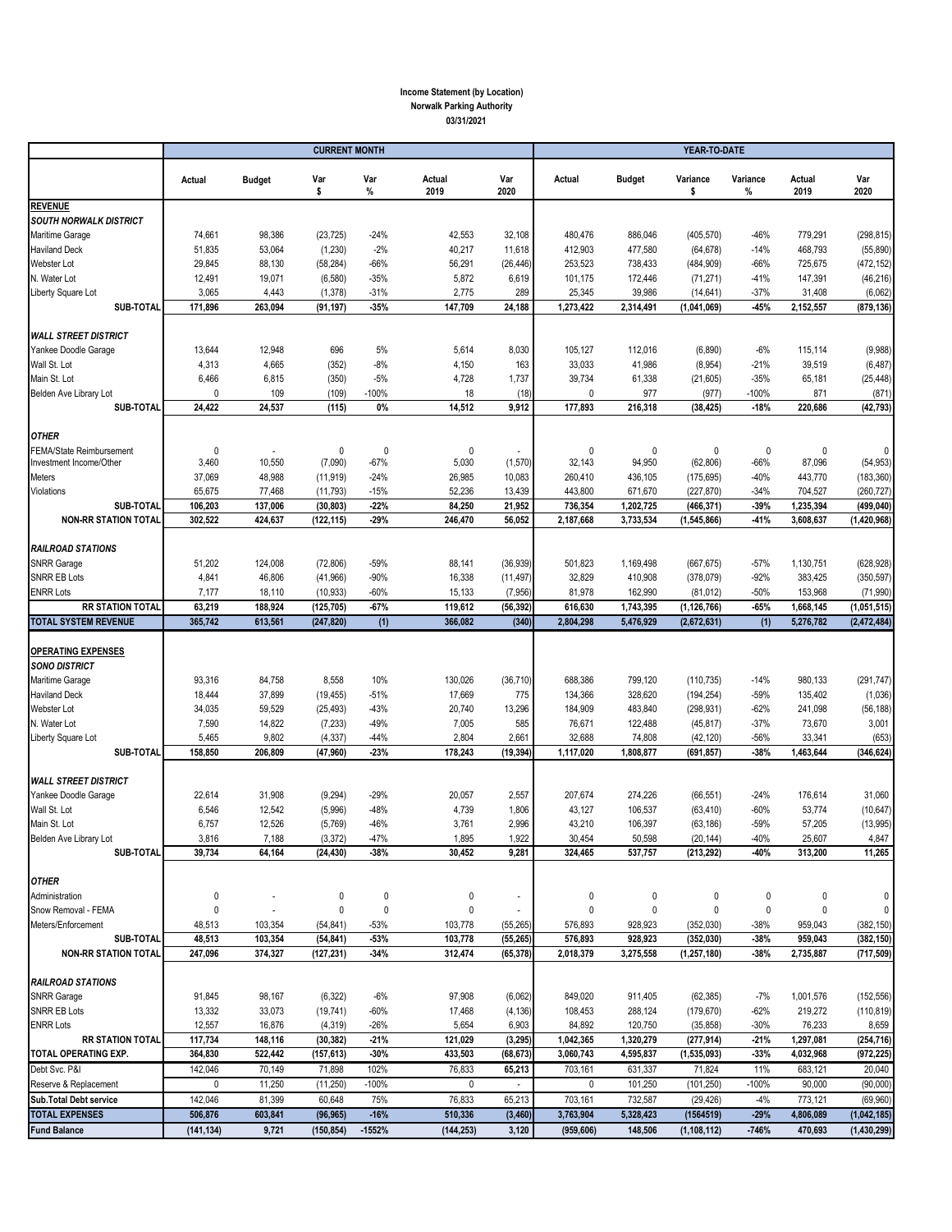### **Income Statement (by Location) Norwalk Parking Authority 03/31/2021**

|                                                     | <b>CURRENT MONTH</b>  |                          |                         |                    |                    |                        | YEAR-TO-DATE           |                      |                           |                        |                        |                          |
|-----------------------------------------------------|-----------------------|--------------------------|-------------------------|--------------------|--------------------|------------------------|------------------------|----------------------|---------------------------|------------------------|------------------------|--------------------------|
|                                                     | Actual                | <b>Budget</b>            | Var<br>\$               | Var<br>$\%$        | Actual<br>2019     | Var<br>2020            | Actual                 | <b>Budget</b>        | Variance<br>\$            | Variance<br>%          | Actual<br>2019         | Var<br>2020              |
| <b>REVENUE</b>                                      |                       |                          |                         |                    |                    |                        |                        |                      |                           |                        |                        |                          |
| <b>SOUTH NORWALK DISTRICT</b>                       |                       |                          |                         |                    |                    |                        |                        |                      |                           |                        |                        |                          |
| Maritime Garage<br><b>Haviland Deck</b>             | 74,661<br>51,835      | 98,386<br>53,064         | (23, 725)<br>(1, 230)   | $-24%$<br>$-2%$    | 42,553<br>40,217   | 32,108<br>11,618       | 480,476<br>412,903     | 886,046<br>477,580   | (405, 570)<br>(64, 678)   | $-46%$<br>$-14%$       | 779,291<br>468,793     | (298, 815)<br>(55, 890)  |
| Webster Lot                                         | 29,845                | 88,130                   | (58, 284)               | $-66%$             | 56,291             | (26, 446)              | 253,523                | 738,433              | (484, 909)                | $-66%$                 | 725,675                | (472, 152)               |
| N. Water Lot                                        | 12,491                | 19,071                   | (6, 580)                | $-35%$             | 5,872              | 6,619                  | 101,175                | 172,446              | (71, 271)                 | $-41%$                 | 147,391                | (46, 216)                |
| Liberty Square Lot                                  | 3,065                 | 4,443                    | (1,378)                 | $-31%$             | 2,775              | 289                    | 25,345                 | 39,986               | (14, 641)                 | $-37%$                 | 31,408                 | (6,062)                  |
| SUB-TOTAL                                           | 171,896               | 263,094                  | (91, 197)               | $-35%$             | 147,709            | 24,188                 | 1,273,422              | 2,314,491            | (1,041,069)               | $-45%$                 | 2,152,557              | (879, 136)               |
| <b>WALL STREET DISTRICT</b>                         |                       |                          |                         |                    |                    |                        |                        |                      |                           |                        |                        |                          |
| Yankee Doodle Garage                                | 13,644                | 12,948                   | 696                     | 5%                 | 5,614              | 8,030                  | 105,127                | 112,016              | (6,890)                   | $-6%$                  | 115,114                | (9,988)                  |
| Wall St. Lot                                        | 4,313                 | 4,665                    | (352)                   | $-8%$              | 4,150              | 163                    | 33,033                 | 41,986               | (8,954)                   | $-21%$                 | 39,519                 | (6, 487)                 |
| Main St. Lot                                        | 6,466                 | 6,815                    | (350)                   | $-5%$              | 4,728              | 1,737                  | 39,734                 | 61,338               | (21,605)                  | $-35%$                 | 65,181                 | (25, 448)                |
| Belden Ave Library Lot                              | $\pmb{0}$             | 109                      | (109)                   | -100%              | 18                 | (18)                   | $\mathbf{0}$           | 977                  | (977)                     | -100%                  | 871                    | (871)                    |
| SUB-TOTAL                                           | 24,422                | 24,537                   | (115)                   | 0%                 | 14,512             | 9,912                  | 177,893                | 216,318              | (38, 425)                 | $-18%$                 | 220,686                | (42, 793)                |
| <b>OTHER</b>                                        |                       |                          |                         |                    |                    |                        |                        |                      |                           |                        |                        |                          |
| FEMA/State Reimbursement<br>Investment Income/Other | $\mathbf{0}$<br>3,460 | 10,550                   | 0<br>(7,090)            | $\Omega$<br>$-67%$ | 0<br>5,030         | (1,570)                | $\mathbf{0}$<br>32,143 | $\Omega$<br>94,950   | 0<br>(62, 806)            | $\mathbf{0}$<br>$-66%$ | $\mathbf{0}$<br>87,096 | 0<br>(54, 953)           |
| Meters                                              | 37,069                | 48,988                   | (11, 919)               | $-24%$             | 26,985             | 10,083                 | 260,410                | 436,105              | (175, 695)                | $-40%$                 | 443,770                | (183, 360)               |
| Violations                                          | 65,675                | 77,468                   | (11, 793)               | $-15%$             | 52,236             | 13,439                 | 443,800                | 671,670              | (227, 870)                | $-34%$                 | 704,527                | (260, 727)               |
| SUB-TOTAL                                           | 106,203               | 137,006                  | (30, 803)               | $-22%$             | 84,250             | 21,952                 | 736,354                | 1,202,725            | (466, 371)                | $-39%$                 | 1,235,394              | (499, 040)               |
| <b>NON-RR STATION TOTAL</b>                         | 302,522               | 424,637                  | (122, 115)              | $-29%$             | 246,470            | 56,052                 | 2,187,668              | 3,733,534            | (1,545,866)               | $-41%$                 | 3,608,637              | (1,420,968)              |
|                                                     |                       |                          |                         |                    |                    |                        |                        |                      |                           |                        |                        |                          |
| <b>RAILROAD STATIONS</b><br><b>SNRR Garage</b>      |                       |                          |                         | $-59%$             |                    |                        |                        |                      |                           | $-57%$                 |                        |                          |
| <b>SNRR EB Lots</b>                                 | 51,202<br>4,841       | 124,008<br>46,806        | (72, 806)<br>(41, 966)  | $-90%$             | 88,141<br>16,338   | (36, 939)<br>(11, 497) | 501,823<br>32,829      | 1,169,498<br>410,908 | (667, 675)<br>(378, 079)  | $-92%$                 | 1,130,751<br>383,425   | (628, 928)<br>(350, 597) |
| <b>ENRR Lots</b>                                    | 7,177                 | 18,110                   | (10, 933)               | $-60%$             | 15,133             | (7, 956)               | 81,978                 | 162,990              | (81, 012)                 | $-50%$                 | 153,968                | (71, 990)                |
| <b>RR STATION TOTAL</b>                             | 63,219                | 188,924                  | (125, 705)              | $-67%$             | 119,612            | (56, 392)              | 616,630                | 1,743,395            | (1, 126, 766)             | $-65%$                 | 1,668,145              | (1,051,515)              |
| <b>TOTAL SYSTEM REVENUE</b>                         | 365,742               | 613,561                  | (247, 820)              | (1)                | 366,082            | (340)                  | 2,804,298              | 5,476,929            | (2,672,631)               | (1)                    | 5,276,782              | (2, 472, 484)            |
| <b>OPERATING EXPENSES</b><br><b>SONO DISTRICT</b>   |                       |                          |                         |                    |                    |                        |                        |                      |                           |                        |                        |                          |
| Maritime Garage                                     | 93,316                | 84,758                   | 8,558                   | 10%                | 130,026            | (36, 710)              | 688,386                | 799,120              | (110, 735)                | $-14%$                 | 980,133                | (291, 747)               |
| <b>Haviland Deck</b>                                | 18,444                | 37,899                   | (19, 455)               | $-51%$             | 17,669             | 775                    | 134,366                | 328,620              | (194, 254)                | $-59%$                 | 135,402                | (1,036)                  |
| Webster Lot                                         | 34,035                | 59,529                   | (25, 493)               | $-43%$             | 20,740             | 13,296                 | 184,909                | 483,840              | (298, 931)                | $-62%$                 | 241,098                | (56, 188)                |
| N. Water Lot                                        | 7,590                 | 14,822                   | (7, 233)                | -49%               | 7,005              | 585                    | 76,671                 | 122,488              | (45, 817)                 | $-37%$                 | 73,670                 | 3,001                    |
| Liberty Square Lot<br>SUB-TOTAL                     | 5,465<br>158,850      | 9,802<br>206,809         | (4, 337)<br>(47, 960)   | $-44%$<br>$-23%$   | 2,804<br>178,243   | 2,661<br>(19, 394)     | 32,688<br>1,117,020    | 74,808<br>1,808,877  | (42, 120)<br>(691, 857)   | $-56%$<br>$-38%$       | 33,341<br>1,463,644    | (653)<br>(346, 624)      |
|                                                     |                       |                          |                         |                    |                    |                        |                        |                      |                           |                        |                        |                          |
| <b>WALL STREET DISTRICT</b>                         |                       |                          |                         |                    |                    |                        |                        |                      |                           |                        |                        |                          |
| Yankee Doodle Garage                                | 22,614                | 31,908                   | (9, 294)                | $-29%$             | 20,057             | 2,557                  | 207,674                | 274,226              | (66, 551)                 | $-24%$                 | 176,614                | 31,060                   |
| Wall St. Lot                                        | 6,546                 | 12,542                   | (5,996)                 | -48%               | 4,739              | 1,806                  | 43,127                 | 106,537              | (63, 410)                 | $-60%$                 | 53,774                 | (10, 647)                |
| Main St. Lot                                        | 6,757                 | 12,526                   | (5,769)                 | -46%               | 3,761              | 2,996                  | 43,210                 | 106,397              | (63, 186)                 | $-59%$                 | 57,205                 | (13,995)                 |
| Belden Ave Library Lot<br>SUB-TOTAL                 | 3,816<br>39,734       | 7,188<br>64,164          | (3, 372)<br>(24, 430)   | $-47%$<br>$-38%$   | 1,895<br>30,452    | 1,922<br>9,281         | 30,454<br>324,465      | 50,598<br>537,757    | (20, 144)<br>(213, 292)   | $-40%$<br>-40%         | 25,607<br>313,200      | 4,847<br>11,265          |
|                                                     |                       |                          |                         |                    |                    |                        |                        |                      |                           |                        |                        |                          |
| <b>OTHER</b>                                        |                       |                          |                         |                    |                    |                        |                        |                      |                           |                        |                        |                          |
| Administration                                      | 0                     |                          | 0                       | 0                  | 0                  | $\blacksquare$         | 0                      | 0                    | 0                         | 0                      | 0                      | 0                        |
| Snow Removal - FEMA                                 | $\mathbf 0$           | $\overline{\phantom{a}}$ | 0                       | $\pmb{0}$          | $\pmb{0}$          | $\sim$                 | 0                      | 0                    | $\pmb{0}$                 | $\pmb{0}$              | 0                      | 0                        |
| Meters/Enforcement<br>SUB-TOTAL                     | 48,513<br>48,513      | 103,354<br>103,354       | (54, 841)               | $-53%$<br>$-53%$   | 103,778<br>103,778 | (55, 265)              | 576,893<br>576,893     | 928,923<br>928,923   | (352,030)                 | $-38%$<br>$-38%$       | 959,043<br>959,043     | (382, 150)<br>(382, 150) |
| <b>NON-RR STATION TOTAL</b>                         | 247,096               | 374,327                  | (54, 841)<br>(127, 231) | $-34%$             | 312,474            | (55, 265)<br>(65, 378) | 2,018,379              | 3,275,558            | (352, 030)<br>(1,257,180) | $-38%$                 | 2,735,887              | (717, 509)               |
|                                                     |                       |                          |                         |                    |                    |                        |                        |                      |                           |                        |                        |                          |
| <b>RAILROAD STATIONS</b>                            |                       |                          |                         |                    |                    |                        |                        |                      |                           |                        |                        |                          |
| <b>SNRR Garage</b>                                  | 91,845                | 98,167                   | (6, 322)                | $-6%$              | 97,908             | (6,062)                | 849,020                | 911,405              | (62, 385)                 | $-7%$                  | 1,001,576              | (152, 556)               |
| <b>SNRR EB Lots</b><br><b>ENRR Lots</b>             | 13,332<br>12,557      | 33,073<br>16,876         | (19, 741)<br>(4, 319)   | $-60%$<br>$-26%$   | 17,468<br>5,654    | (4, 136)<br>6,903      | 108,453<br>84,892      | 288,124<br>120,750   | (179, 670)<br>(35, 858)   | $-62%$<br>$-30%$       | 219,272<br>76,233      | (110, 819)<br>8,659      |
| <b>RR STATION TOTAL</b>                             | 117,734               | 148,116                  | (30, 382)               | $-21%$             | 121,029            | (3, 295)               | 1,042,365              | 1,320,279            | (277, 914)                | $-21%$                 | 1,297,081              | (254, 716)               |
| TOTAL OPERATING EXP.                                | 364,830               | 522,442                  | (157, 613)              | $-30%$             | 433,503            | (68, 673)              | 3,060,743              | 4,595,837            | (1,535,093)               | $-33%$                 | 4,032,968              | (972, 225)               |
| Debt Svc. P&I                                       | 142,046               | 70,149                   | 71,898                  | 102%               | 76,833             | 65,213                 | 703,161                | 631,337              | 71,824                    | 11%                    | 683,121                | 20,040                   |
| Reserve & Replacement                               | 0                     | 11,250                   | (11, 250)               | $-100%$            | 0                  | $\sim$                 | 0                      | 101,250              | (101, 250)                | $-100%$                | 90,000                 | (90,000)                 |
| Sub.Total Debt service                              | 142,046               | 81,399                   | 60,648                  | 75%                | 76,833             | 65,213                 | 703,161                | 732,587              | (29, 426)                 | $-4%$                  | 773,121                | (69,960)                 |
| <b>TOTAL EXPENSES</b>                               | 506,876               | 603,841                  | (96, 965)               | $-16%$             | 510,336            | (3, 460)               | 3,763,904              | 5,328,423            | (1564519)                 | $-29%$                 | 4,806,089              | (1,042,185)              |
| <b>Fund Balance</b>                                 | (141, 134)            | 9,721                    | (150, 854)              | $-1552%$           | (144, 253)         | 3,120                  | (959, 606)             | 148,506              | (1, 108, 112)             | $-746%$                | 470,693                | (1,430,299)              |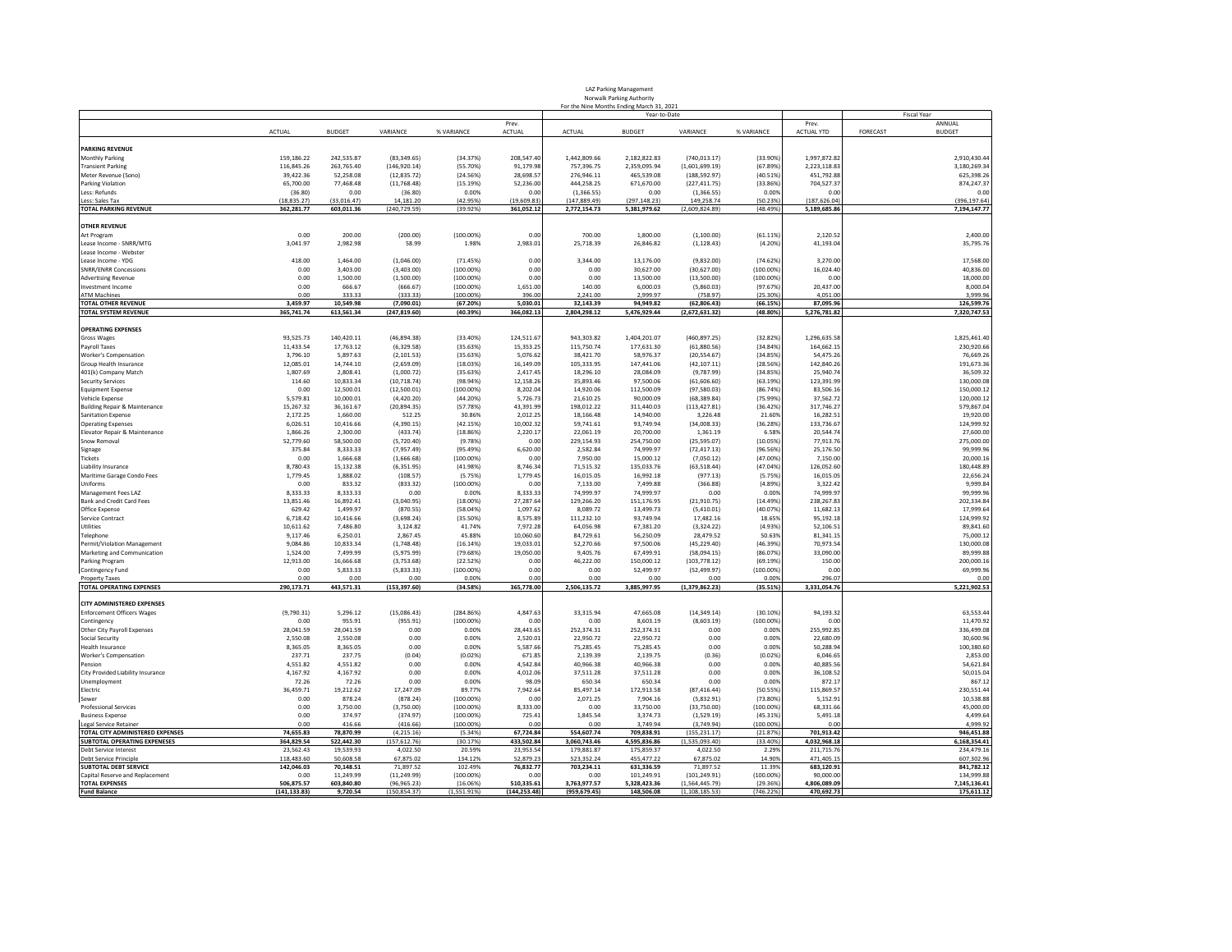| <b>LAZ Parking Management</b>             |
|-------------------------------------------|
| Norwalk Parking Authority                 |
| For the Nine Months Ending March 31, 2021 |

|                                                          |                    |                       |                            |                      |                       |                        | Year-to-Date           |                            |                    |                         | <b>Fiscal Year</b>        |
|----------------------------------------------------------|--------------------|-----------------------|----------------------------|----------------------|-----------------------|------------------------|------------------------|----------------------------|--------------------|-------------------------|---------------------------|
|                                                          |                    |                       |                            |                      | Prev                  |                        |                        |                            |                    | Prev.                   | ANNUAL                    |
|                                                          | <b>ACTUAL</b>      | <b>BUDGET</b>         | VARIANCE                   | % VARIANCE           | <b>ACTUAL</b>         | <b>ACTUAL</b>          | <b>BUDGET</b>          | VARIANCE                   | % VARIANCE         | ACTUAL YTD              | FORECAST<br><b>BUDGET</b> |
|                                                          |                    |                       |                            |                      |                       |                        |                        |                            |                    |                         |                           |
| <b>PARKING REVENUE</b>                                   |                    |                       |                            |                      |                       |                        |                        |                            |                    |                         |                           |
| <b>Monthly Parking</b>                                   | 159,186.22         | 242,535.87            | (83, 349.65)               | (34.37%)             | 208,547.40            | 1,442,809.66           | 2,182,822.83           | (740, 013.17)              | (33.90%            | 1,997,872.82            | 2,910,430.44              |
| <b>Transient Parking</b>                                 | 116,845.26         | 263,765.40            | (146, 920.14)              | (55.70%)             | 91,179.98             | 757,396.75             | 2,359,095.94           | (1,601,699.19)             | (67.89%            | 2,223,118.8             | 3,180,269.34              |
| Meter Revenue (Sono)                                     | 39.422.36          | 52.258.08             | (12.835.72)                | (24.56%)             | 28.698.57             | 276.946.11             | 465.539.08             | (188.592.97)               | (40.51%)           | 451.792.88              | 625.398.26                |
| <b>Parking Violation</b>                                 | 65,700.00          | 77,468.48             | (11, 768.48)               | (15.19%)             | 52,236.00             | 444,258.25             | 671,670.00             | (227, 411.75)              | (33.86%            | 704,527.37              | 874,247.37                |
| Less: Refunds                                            | (36.80)            | 0.00                  | (36.80)                    | 0.00%                | 0.00                  | (1,366.55)             | 0.00                   | (1,366.55)                 | 0.00%              | 0.00                    | 0.00                      |
| Less: Sales Tax                                          | (18, 835.27)       | (33, 016.47)          | 14,181.20                  | (42.95%)             | (19,609.83)           | (147, 889.49)          | (297, 148.23)          | 149,258.74                 | (50.23%            | (187, 626.04)           | (396, 197.64)             |
| <b>TOTAL PARKING REVENUE</b>                             | 362,281.77         | 603,011.36            | (240, 729.59)              | (39.92%)             | 361.052.12            | 2,772,154.73           | 5,381,979.62           | (2,609,824.89)             | (48.49%            | 5,189,685.86            | 7,194,147.77              |
|                                                          |                    |                       |                            |                      |                       |                        |                        |                            |                    |                         |                           |
| <b>OTHER REVENUE</b>                                     |                    |                       |                            |                      |                       |                        |                        |                            |                    |                         |                           |
| Art Program                                              | 0.00               | 200.00                | (200.00)                   | $(100.00\%)$         | 0.00                  | 700.00                 | 1,800.00               | (1, 100.00)                | (61.11%            | 2.120.52                | 2,400.00                  |
| Lease Income - SNRR/MTG                                  | 3,041.97           | 2,982.98              | 58.99                      | 1.98%                | 2,983.01              | 25.718.39              | 26,846.82              | (1, 128.43)                | (4.20%             | 41,193.04               | 35,795.76                 |
| Lease Income - Webster                                   |                    |                       |                            |                      |                       |                        |                        |                            |                    |                         |                           |
| Lease Income - YDG                                       | 418.00             | 1,464.00              | (1,046.00)                 | (71.45%)             | 0.00                  | 3,344.00               | 13,176.00              | (9,832.00)                 | (74.62%            | 3,270.00                | 17,568.00                 |
| <b>SNRR/ENRR Concessions</b>                             | 0.00               | 3.403.00              | (3.403.00)                 | (100,00%)            | 0.00                  | 0.00                   | 30.627.00              | (30.627.00)                | (100.00%           | 16,024.40               | 40.836.00                 |
| <b>Advertising Revenue</b>                               | 0.00               | 1,500.00              | (1,500.00)                 | (100,00%)            | 0.00                  | 0.00                   | 13,500.00              | (13,500.00)                | $(100.00\%)$       | 0.00                    | 18,000.00                 |
| Investment Income                                        | 0.00               | 666.67                | (666.67)                   | (100.00%)            | 1.651.00              | 140.00                 | 6.000.03               | (5,860.03)                 | (97.67%            | 20,437.00               | 8.000.04                  |
| <b>ATM Machines</b>                                      | 0.00               | 333.33                | (333.33)                   | $(100.00\%)$         | 396.00                | 2,241.00               | 2,999.97               | (758.97)                   | (25.30%            | 4,051.00                | 3,999.96                  |
| <b>TOTAL OTHER REVENUE</b>                               | 3.459.97           | 10,549.98             | (7,090.01)                 | (67.20%)             | 5.030.01              | 32.143.39              | 94,949.82              | (62, 806.43)               | (66.15%)           | 87,095.96               | 126,599.76                |
| <b>TOTAL SYSTEM REVENUE</b>                              | 365,741.74         | 613,561.34            | (247, 819.60)              | (40.39%)             | 366,082.13            | 2,804,298.12           | 5,476,929.44           | (2,672,631.32)             | (48.80%)           | 5,276,781.82            | 7,320,747.53              |
| <b>OPERATING EXPENSES</b>                                |                    |                       |                            |                      |                       |                        |                        |                            |                    |                         |                           |
|                                                          | 93.525.73          | 140.420.11            | (46.894.38)                | (33.40%              | 124.511.67            | 943.303.82             | 1.404.201.07           |                            | (32.82%)           | 1.296.635.58            | 1.825.461.40              |
| Gross Wages                                              |                    |                       |                            |                      |                       |                        |                        | (460, 897.25)              |                    |                         |                           |
| Payroll Taxes                                            | 11,433.54          | 17,763.12             | (6, 329.58)                | (35.63%)             | 15,353.25             | 115,750.74             | 177,631.30             | (61,880.56)                | (34.84%            | 164,662.15              | 230,920.66                |
| <b>Worker's Compensation</b>                             | 3,796.10           | 5.897.63              | (2.101.53)                 | (35.63%              | 5.076.62              | 38.421.70              | 58.976.37              | (20, 554.67)               | (34.85%            | 54,475.26               | 76.669.26                 |
| Group Health Insurance                                   | 12,085.01          | 14.744.10             | (2,659.09)                 | (18.03%)             | 16.149.09             | 105,333.95             | 147.441.06             | (42, 107.11)               | (28.56%            | 142,840.26              | 191,673.36                |
| 401(k) Company Match<br><b>Security Services</b>         | 1,807.69<br>114.60 | 2.808.41<br>10,833.34 | (1,000.72)<br>(10, 718.74) | (35.63%)<br>(98.94%) | 2.417.45<br>12,158.26 | 18,296.10<br>35,893.46 | 28,084.09<br>97,500.06 | (9,787.99)<br>(61, 606.60) | (34.85%<br>(63.19% | 25.940.74<br>123,391.99 | 36.509.32<br>130,000.08   |
|                                                          |                    |                       |                            |                      |                       |                        |                        |                            |                    |                         |                           |
| <b>Equipment Expense</b>                                 | 0.00               | 12,500.01             | (12,500.01)                | $(100.00\%)$         | 8,202.04              | 14,920.06              | 112,500.09             | (97,580.03)                | (86.74%            | 83,506.16               | 150,000.12                |
| Vehicle Expense                                          | 5,579.81           | 10,000.01             | (4,420.20)                 | (44.20%              | 5,726.73              | 21,610.25              | 90,000.09              | (68, 389.84)               | (75.99%            | 37,562.72               | 120,000.12                |
| Building Repair & Maintenance                            | 15.267.32          | 36.161.67             | (20, 894.35)               | (57.78%)             | 43.391.99             | 198.012.22             | 311.440.03             | (113.427.81)               | (36.42%)           | 317.746.27              | 579.867.04                |
| <b>Sanitation Expense</b>                                | 2,172.25           | 1,660.00              | 512.25                     | 30.86%               | 2,012.25              | 18,166.48              | 14,940.00              | 3,226.48                   | 21.60%             | 16,282.51               | 19,920.00                 |
| <b>Operating Expenses</b>                                | 6,026.51           | 10,416.66             | (4,390.15)                 | (42.15%)             | 10.002.32             | 59,741.61              | 93,749.94              | (34,008.33)                | (36.28%            | 133,736.6               | 124.999.92                |
| Elevator Repair & Maintenance                            | 1,866.26           | 2,300.00              | (433.74)                   | (18.86%)             | 2.220.17              | 22,061.19              | 20,700.00              | 1,361.19                   | 6.589              | 20,544.7                | 27,600.00                 |
| Snow Removal                                             | 52,779.60          | 58,500.00             | (5,720.40)                 | (9.78%               | 0.00                  | 229,154.93             | 254,750.00             | (25, 595.07)               | (10.05%            | 77,913.76               | 275,000.00                |
| Signage                                                  | 375.84             | 8,333.33              | (7,957.49)                 | (95.49%)             | 6,620.00              | 2,582.84               | 74,999.97              | (72, 417.13)               | (96.56%            | 25,176.50               | 99,999.96                 |
| Tickets                                                  | 0.00               | 1.666.68              | (1,666.68)                 | $(100.00\%)$         | 0.00                  | 7,950.00               | 15,000.12              | (7,050.12)                 | (47.00%            | 7,150.00                | 20,000.16                 |
| Liability Insurance                                      | 8,780.43           | 15.132.38             | (6, 351.95)                | (41.98%)             | 8.746.34              | 71.515.32              | 135,033.76             | (63, 518.44)               | (47.04%            | 126.052.60              | 180,448.89                |
| Maritime Garage Condo Fees                               | 1,779.45           | 1,888.02              | (108.57)                   | (5.75%)              | 1.779.45              | 16.015.05              | 16,992.18              | (977.13)                   | (5.75%             | 16.015.05               | 22.656.24                 |
| Uniforms                                                 | 0.00               | 833.32                | (833.32)                   | $(100.00\%)$         | 0.00                  | 7,133.00               | 7,499.88               | (366.88)                   | (4.89%             | 3,322.42                | 9,999.84                  |
| Management Fees LAZ                                      | 8,333.33           | 8.333.33              | 0.00                       | 0.00%                | 8.333.33              | 74,999.97              | 74,999.97              | 0.00                       | 0.009              | 74,999.97               | 99.999.96                 |
| Bank and Credit Card Fees                                | 13,851.46          | 16,892.41             | (3.040.95)                 | $(18.00\%)$          | 27.287.64             | 129,266.20             | 151,176.95             | (21.910.75)                | (14.49%            | 238,267.83              | 202.334.84                |
| Office Expense                                           | 629.42             | 1,499.97              | (870.55)                   | (58.04%              | 1,097.62              | 8,089.72               | 13,499.73              | (5,410.01)                 | (40.07%            | 11,682.13               | 17,999.64                 |
| Service Contract                                         | 6,718.42           | 10,416.66             | (3,698.24)                 | (35.50%)             | 8,575.89              | 111,232.10             | 93,749.94              | 17,482.16                  | 18.65%             | 95,192.18               | 124,999.92                |
| Utilities                                                | 10,611.62          | 7,486.80              | 3,124.82                   | 41.74%               | 7.972.28              | 64,056.98              | 67,381.20              | (3,324.22)                 | (4.93%             | 52.106.51               | 89,841.60                 |
| Telephone                                                | 9.117.46           | 6.250.01              | 2.867.45                   | 45.88%               | 10.060.60             | 84.729.61              | 56.250.09              | 28.479.52                  | 50.63%             | 81.341.15               | 75.000.12                 |
| Permit/Violation Management                              | 9.084.86           | 10.833.34             | (1,748.48)                 | (16.14%              | 19.033.01             | 52.270.66              | 97,500.06              | (45.229.40)                | (46.39%            | 70.973.54               | 130,000.08                |
| Marketing and Communication                              | 1,524.00           | 7,499.99              | (5,975.99)                 | (79.68%)             | 19,050.00             | 9,405.76               | 67,499.91              | (58,094.15)                | (86.07%            | 33,090.00               | 89,999.88                 |
| Parking Program                                          | 12,913.00          | 16,666.68             | (3,753.68)                 | (22.52%              | 0.00                  | 46,222.00              | 150,000.12             | (103, 778.12)              | (69.19%            | 150.00                  | 200,000.16                |
| Contingency Fund                                         | 0.00               | 5,833.33              | (5,833.33)                 | (100.00%             | 0.00                  | 0.00                   | 52,499.97              | (52, 499.97)               | (100.00%           | 0.00                    | 69,999.96                 |
| <b>Property Taxes</b><br><b>TOTAL OPERATING EXPENSES</b> | 0.00<br>290,173.71 | 0.00                  | 0.00                       | 0.00%                | 0.00<br>365,778.00    | 0.00                   | 0.00                   | 0.00                       | 0.009              | 296.07                  | 0.00                      |
|                                                          |                    | 443,571.31            | (153, 397.60)              | (34.58%)             |                       | 2,506,135.72           | 3,885,997.95           | (1,379,862.23)             | (35.51%)           | 3,331,054.76            | 5,221,902.53              |
| <b>CITY ADMINISTERED EXPENSES</b>                        |                    |                       |                            |                      |                       |                        |                        |                            |                    |                         |                           |
| <b>Enforcement Officers Wages</b>                        | (9,790.31)         | 5,296.12              | (15,086.43)                | (284.86%)            | 4,847.63              | 33,315.94              | 47,665.08              | (14, 349.14)               | (30.10%            | 94,193.32               | 63,553.44                 |
| Contingency                                              | 0.00               | 955.91                | (955.91)                   | $(100.00\%)$         | 0.00                  | 0.00                   | 8.603.19               | (8,603.19)                 | (100.00%           | 0.00                    | 11,470.92                 |
| Other City Payroll Expenses                              | 28,041.59          | 28.041.59             | 0.00                       | 0.00%                | 28,443.65             | 252,374.31             | 252,374.31             | 0.00                       | 0.009              | 255.992.85              | 336.499.08                |
| Social Security                                          | 2,550.08           | 2,550.08              | 0.00                       | 0.00%                | 2,520.01              | 22,950.72              | 22,950.72              | 0.00                       | 0.00%              | 22,680.09               | 30,600.96                 |
| <b>Health Insurance</b>                                  | 8.365.05           | 8,365.05              | 0.00                       | 0.00%                | 5,587.66              | 75.285.45              | 75,285.45              | 0.00                       | 0.00%              | 50,288.94               | 100,380.60                |
| Worker's Compensation                                    | 237.71             | 237.75                | (0.04)                     | (0.02%               | 671.85                | 2,139.39               | 2.139.75               | (0.36)                     | (0.02%             | 6,046.65                | 2,853.00                  |
| Pension                                                  | 4.551.82           | 4.551.82              | 0.00                       | 0.00%                | 4.542.84              | 40.966.38              | 40.966.38              | 0.00                       | 0.00%              | 40.885.56               | 54.621.84                 |
| City Provided Liability Insurance                        | 4,167.92           | 4,167.92              | 0.00                       | 0.00%                | 4,012.06              | 37,511.28              | 37,511.28              | 0.00                       | 0.00%              | 36,108.52               | 50,015.04                 |
| Unemployment                                             | 72.26              | 72.26                 | 0.00                       | 0.00%                | 98.09                 | 650.34                 | 650.34                 | 0.00                       | 0.00%              | 872.1                   | 867.12                    |
| Electric                                                 | 36,459.71          | 19.212.62             | 17.247.09                  | 89.77%               | 7.942.64              | 85,497.14              | 172.913.58             | (87, 416.44)               | (50.55%            | 115,869.5               | 230.551.44                |
| Sewer                                                    | 0.00               | 878.24                | (878.24)                   | (100,00%)            | 0.00                  | 2.071.25               | 7.904.16               | (5,832.91)                 | (73.80%            | 5,152.9                 | 10.538.88                 |
| <b>Professional Services</b>                             | 0.00               | 3,750.00              | (3,750.00)                 | $(100.00\%)$         | 8.333.00              | 0.00                   | 33,750.00              | (33,750.00)                | $(100.00\%)$       | 68,331.66               | 45,000.00                 |
| <b>Business Expense</b>                                  | 0.00               | 374.97                | (374.97)                   | $(100.00\%)$         | 725.41                | 1,845.54               | 3,374.73               | (1,529.19)                 | (45.31%            | 5,491.18                | 4,499.64                  |
| Legal Service Retainer                                   | 0.00               | 416.66                | (416.66)                   | (100.00%)            | 0.00                  | 0.00                   | 3,749.94               | (3,749.94)                 | (100.00%           | 0.00                    | 4,999.92                  |
| TOTAL CITY ADMINISTERED EXPENSES                         | 74,655.83          | 78,870.99             | (4, 215.16)                | (5.34%               | 67,724.84             | 554,607.74             | 709,838.91             | (155, 231.17)              | (21.87%)           | 701,913.42              | 946,451.88                |
| SUBTOTAL OPERATING EXPENESES                             | 364,829.54         | 522,442.30            | (157, 612.76)              | (30.17%)             | 433.502.84            | 3,060,743.46           | 4,595,836.86           | (1,535,093.40)             | (33.40%            | 4.032.968.18            | 6,168,354.41              |
| <b>Debt Service Interes</b>                              | 23,562.43          | 19.539.93             | 4,022.50                   | 20.59%               | 23.953.54             | 179,881.87             | 175,859.37             | 4,022.50                   | 2.29%              | 211,715.76              | 234,479.16                |
| Debt Service Principle                                   | 118,483.60         | 50.608.58             | 67,875.02                  | 134.12%              | 52,879.23             | 523,352.24             | 455.477.22             | 67,875.02                  | 14.90%             | 471,405.19              | 607,302.96                |
| <b>SUBTOTAL DEBT SERVICE</b>                             | 142,046.03         | 70,148.51             | 71,897.52                  | 102.49%              | 76,832.77             | 703,234.11             | 631,336.59             | 71,897.52                  | 11.399             | 683,120.91              | 841,782.12                |
| Capital Reserve and Replacement                          | 0.00               | 11.249.99             | (11, 249.99)               | $(100.00\%)$         | 0.00                  | 0.00                   | 101,249.91             | (101, 249.91)              | $(100.00\%)$       | 90,000.00               | 134,999.88                |
| <b>TOTAL EXPENSES</b>                                    | 506,875.57         | 603.840.80            | (96.965.23)                | (16.06%)             | 510.335.61            | 3,763,977.57           | 5,328,423.36           | (1,564,445.79)             | (29.36%)           | 4,806,089.09            | 7.145.136.41              |
| <b>Fund Balance</b>                                      | (141, 133.83)      | 9,720.54              | (150, 854.37)              | (1,551.91%)          | (144, 253.48)         | (959, 679.45)          | 148,506.08             | (1, 108, 185.53)           | (746.22%)          | 470,692.73              | 175,611.12                |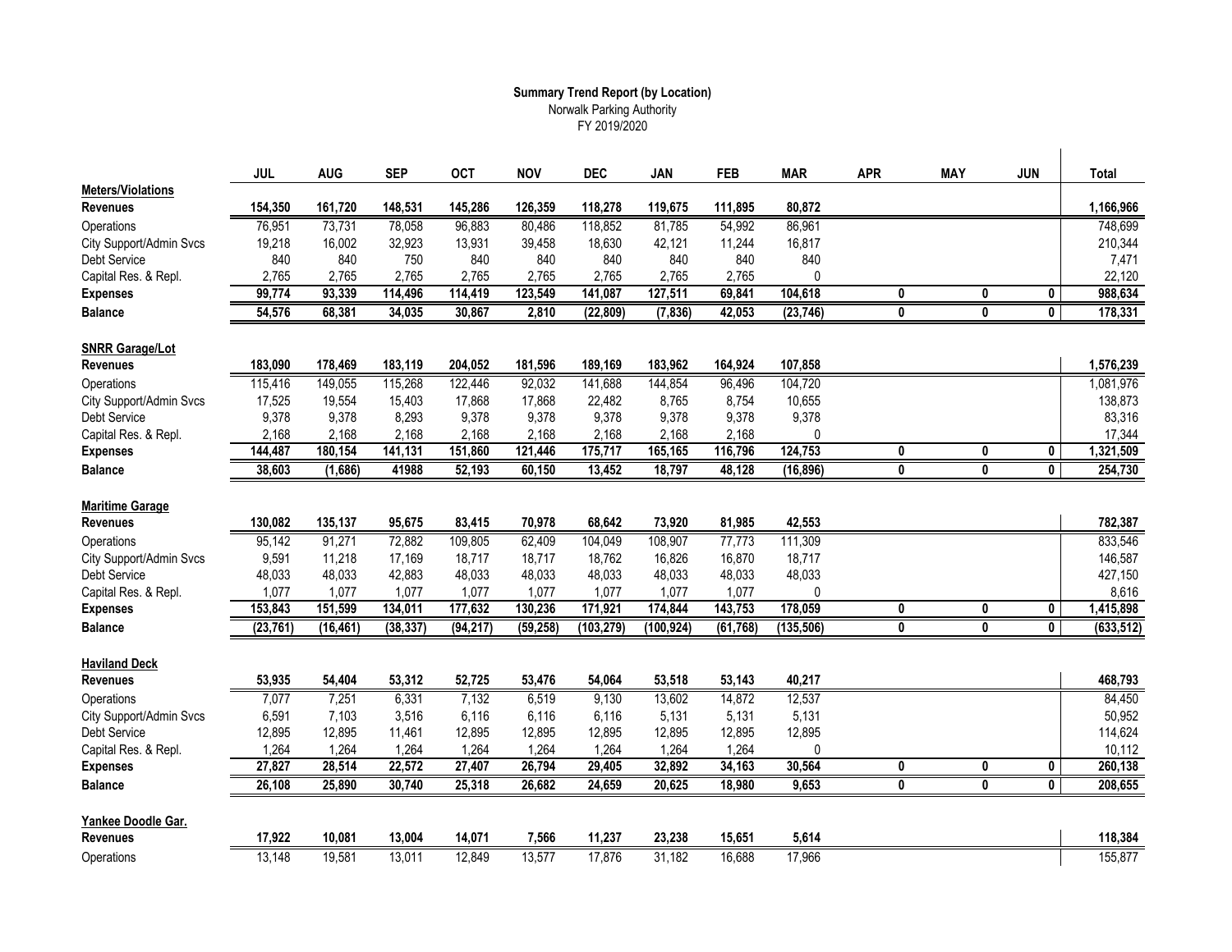#### **Summary Trend Report (by Location)** Norwalk Parking Authority FY 2019/2020

|                                             | <b>JUL</b> | <b>AUG</b> | <b>SEP</b> | <b>OCT</b> | <b>NOV</b> | <b>DEC</b> | JAN        | <b>FEB</b> | <b>MAR</b>   | <b>APR</b>   | <b>MAY</b> | <b>JUN</b>              | <b>Total</b> |
|---------------------------------------------|------------|------------|------------|------------|------------|------------|------------|------------|--------------|--------------|------------|-------------------------|--------------|
| <b>Meters/Violations</b><br><b>Revenues</b> | 154,350    | 161,720    | 148,531    | 145,286    | 126,359    | 118,278    | 119,675    | 111,895    | 80,872       |              |            |                         | 1,166,966    |
| Operations                                  | 76,951     | 73,731     | 78,058     | 96,883     | 80,486     | 118,852    | 81,785     | 54,992     | 86,961       |              |            |                         | 748,699      |
| City Support/Admin Svcs                     | 19,218     | 16,002     | 32,923     | 13,931     | 39,458     | 18,630     | 42,121     | 11,244     | 16,817       |              |            |                         | 210,344      |
| <b>Debt Service</b>                         | 840        | 840        | 750        | 840        | 840        | 840        | 840        | 840        | 840          |              |            |                         | 7,471        |
| Capital Res. & Repl.                        | 2,765      | 2.765      | 2,765      | 2.765      | 2,765      | 2.765      | 2,765      | 2,765      | $\Omega$     |              |            |                         | 22,120       |
| <b>Expenses</b>                             | 99,774     | 93,339     | 114,496    | 114,419    | 123,549    | 141,087    | 127,511    | 69,841     | 104,618      | $\mathbf{0}$ | 0          | 0                       | 988.634      |
| <b>Balance</b>                              | 54,576     | 68,381     | 34,035     | 30,867     | 2,810      | (22, 809)  | (7, 836)   | 42,053     | (23, 746)    | 0            | 0          | $\mathbf 0$             | 178,331      |
| <b>SNRR Garage/Lot</b>                      |            |            |            |            |            |            |            |            |              |              |            |                         |              |
| <b>Revenues</b>                             | 183,090    | 178,469    | 183,119    | 204,052    | 181,596    | 189,169    | 183,962    | 164,924    | 107,858      |              |            |                         | 1,576,239    |
| Operations                                  | 115,416    | 149,055    | 115,268    | 122,446    | 92,032     | 141,688    | 144,854    | 96,496     | 104,720      |              |            |                         | 1,081,976    |
| City Support/Admin Svcs                     | 17,525     | 19,554     | 15,403     | 17,868     | 17,868     | 22,482     | 8,765      | 8,754      | 10,655       |              |            |                         | 138,873      |
| <b>Debt Service</b>                         | 9,378      | 9,378      | 8,293      | 9,378      | 9,378      | 9,378      | 9,378      | 9,378      | 9,378        |              |            |                         | 83,316       |
| Capital Res. & Repl.                        | 2,168      | 2,168      | 2,168      | 2,168      | 2,168      | 2,168      | 2,168      | 2,168      | $\mathbf{0}$ |              |            |                         | 17,344       |
| <b>Expenses</b>                             | 144,487    | 180,154    | 141,131    | 151,860    | 121,446    | 175,717    | 165,165    | 116,796    | 124,753      | 0            | 0          | $\mathbf 0$             | 1,321,509    |
| <b>Balance</b>                              | 38,603     | (1,686)    | 41988      | 52,193     | 60,150     | 13,452     | 18,797     | 48,128     | (16, 896)    | 0            | 0          | $\overline{0}$          | 254,730      |
|                                             |            |            |            |            |            |            |            |            |              |              |            |                         |              |
| <b>Maritime Garage</b>                      |            |            |            |            |            |            |            |            |              |              |            |                         |              |
| <b>Revenues</b>                             | 130,082    | 135,137    | 95,675     | 83,415     | 70,978     | 68,642     | 73,920     | 81,985     | 42,553       |              |            |                         | 782,387      |
| Operations                                  | 95,142     | 91,271     | 72,882     | 109,805    | 62,409     | 104,049    | 108,907    | 77,773     | 111,309      |              |            |                         | 833,546      |
| City Support/Admin Svcs                     | 9,591      | 11,218     | 17,169     | 18,717     | 18,717     | 18,762     | 16,826     | 16,870     | 18,717       |              |            |                         | 146,587      |
| Debt Service                                | 48,033     | 48,033     | 42.883     | 48,033     | 48,033     | 48,033     | 48,033     | 48,033     | 48,033       |              |            |                         | 427,150      |
| Capital Res. & Repl.                        | 1,077      | 1,077      | 1.077      | 1,077      | 1.077      | 1,077      | 1,077      | 1.077      | $\mathbf{0}$ |              |            |                         | 8,616        |
| <b>Expenses</b>                             | 153,843    | 151,599    | 134,011    | 177,632    | 130,236    | 171,921    | 174,844    | 143,753    | 178,059      | 0            | 0          | 0                       | 1,415,898    |
| <b>Balance</b>                              | (23, 761)  | (16, 461)  | (38, 337)  | (94, 217)  | (59, 258)  | (103, 279) | (100, 924) | (61, 768)  | (135, 506)   | 0            | 0          | $\mathbf{0}$            | (633, 512)   |
| <b>Haviland Deck</b>                        |            |            |            |            |            |            |            |            |              |              |            |                         |              |
| <b>Revenues</b>                             | 53,935     | 54,404     | 53,312     | 52,725     | 53,476     | 54,064     | 53,518     | 53,143     | 40,217       |              |            |                         | 468,793      |
| Operations                                  | 7,077      | 7,251      | 6,331      | 7,132      | 6,519      | 9,130      | 13,602     | 14,872     | 12,537       |              |            |                         | 84,450       |
| City Support/Admin Svcs                     | 6,591      | 7,103      | 3,516      | 6,116      | 6,116      | 6,116      | 5,131      | 5,131      | 5,131        |              |            |                         | 50,952       |
| <b>Debt Service</b>                         | 12,895     | 12,895     | 11,461     | 12,895     | 12,895     | 12,895     | 12,895     | 12,895     | 12,895       |              |            |                         | 114,624      |
| Capital Res. & Repl.                        | 1,264      | 1,264      | 1,264      | 1,264      | 1,264      | 1,264      | 1,264      | 1,264      | 0            |              |            |                         | 10,112       |
| <b>Expenses</b>                             | 27,827     | 28,514     | 22,572     | 27,407     | 26,794     | 29,405     | 32,892     | 34,163     | 30,564       | 0            | 0          | 0                       | 260,138      |
| <b>Balance</b>                              | 26,108     | 25,890     | 30,740     | 25,318     | 26,682     | 24,659     | 20,625     | 18,980     | 9,653        | $\bf{0}$     | $\bf{0}$   | $\overline{\mathbf{0}}$ | 208,655      |
| Yankee Doodle Gar.                          |            |            |            |            |            |            |            |            |              |              |            |                         |              |
| <b>Revenues</b>                             | 17,922     | 10,081     | 13,004     | 14,071     | 7,566      | 11,237     | 23,238     | 15,651     | 5,614        |              |            |                         | 118,384      |
| Operations                                  | 13,148     | 19,581     | 13,011     | 12,849     | 13,577     | 17,876     | 31,182     | 16,688     | 17,966       |              |            |                         | 155,877      |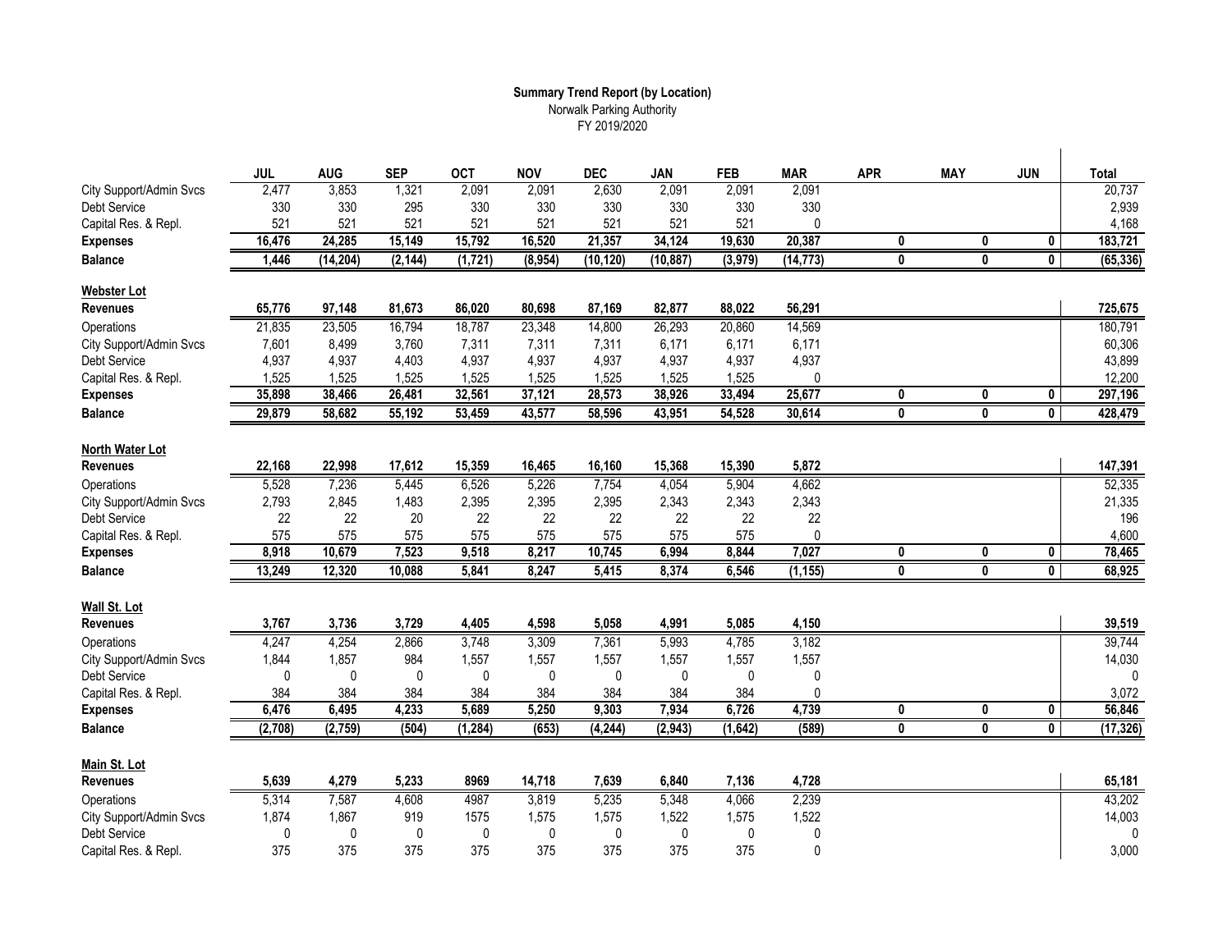### **Summary Trend Report (by Location)** Norwalk Parking Authority FY 2019/2020

|                         | <b>JUL</b> | <b>AUG</b>   | <b>SEP</b>   | <b>OCT</b> | <b>NOV</b> | <b>DEC</b>   | <b>JAN</b>   | <b>FEB</b> | <b>MAR</b>   | <b>APR</b>              | <b>MAY</b>              | <b>JUN</b>              | <b>Total</b> |
|-------------------------|------------|--------------|--------------|------------|------------|--------------|--------------|------------|--------------|-------------------------|-------------------------|-------------------------|--------------|
| City Support/Admin Svcs | 2,477      | 3,853        | 1,321        | 2,091      | 2,091      | 2,630        | 2,091        | 2,091      | 2,091        |                         |                         |                         | 20,737       |
| Debt Service            | 330        | 330          | 295          | 330        | 330        | 330          | 330          | 330        | 330          |                         |                         |                         | 2,939        |
| Capital Res. & Repl.    | 521        | 521          | 521          | 521        | 521        | 521          | 521          | 521        | 0            |                         |                         |                         | 4,168        |
| <b>Expenses</b>         | 16,476     | 24,285       | 15,149       | 15,792     | 16,520     | 21,357       | 34,124       | 19,630     | 20,387       | 0                       | 0                       | 0                       | 183,721      |
| <b>Balance</b>          | 1,446      | (14, 204)    | (2, 144)     | (1, 721)   | (8,954)    | (10, 120)    | (10, 887)    | (3, 979)   | (14, 773)    | 0                       | $\overline{\mathbf{0}}$ | 0                       | (65, 336)    |
| Webster Lot             |            |              |              |            |            |              |              |            |              |                         |                         |                         |              |
| Revenues                | 65,776     | 97,148       | 81,673       | 86,020     | 80,698     | 87,169       | 82,877       | 88,022     | 56,291       |                         |                         |                         | 725,675      |
| Operations              | 21,835     | 23,505       | 16,794       | 18,787     | 23,348     | 14,800       | 26,293       | 20,860     | 14,569       |                         |                         |                         | 180,791      |
| City Support/Admin Svcs | 7,601      | 8,499        | 3,760        | 7,311      | 7,311      | 7,311        | 6,171        | 6,171      | 6,171        |                         |                         |                         | 60,306       |
| Debt Service            | 4,937      | 4,937        | 4,403        | 4,937      | 4,937      | 4,937        | 4,937        | 4,937      | 4,937        |                         |                         |                         | 43,899       |
| Capital Res. & Repl.    | 1,525      | 1,525        | 1,525        | 1,525      | 1,525      | 1,525        | 1,525        | 1,525      | 0            |                         |                         |                         | 12,200       |
| <b>Expenses</b>         | 35,898     | 38,466       | 26,481       | 32,561     | 37,121     | 28,573       | 38,926       | 33,494     | 25,677       | 0                       | 0                       | 0                       | 297,196      |
| <b>Balance</b>          | 29,879     | 58,682       | 55,192       | 53,459     | 43,577     | 58,596       | 43,951       | 54,528     | 30,614       | 0                       | 0                       | $\mathbf{0}$            | 428,479      |
|                         |            |              |              |            |            |              |              |            |              |                         |                         |                         |              |
| North Water Lot         |            |              |              |            |            |              |              |            |              |                         |                         |                         |              |
| <b>Revenues</b>         | 22,168     | 22,998       | 17,612       | 15,359     | 16,465     | 16,160       | 15,368       | 15,390     | 5,872        |                         |                         |                         | 147,391      |
| Operations              | 5,528      | 7,236        | 5,445        | 6,526      | 5,226      | 7,754        | 4,054        | 5,904      | 4,662        |                         |                         |                         | 52,335       |
| City Support/Admin Svcs | 2,793      | 2,845        | 1,483        | 2,395      | 2,395      | 2,395        | 2,343        | 2,343      | 2,343        |                         |                         |                         | 21,335       |
| Debt Service            | 22         | 22           | 20           | 22         | 22         | 22           | 22           | 22         | 22           |                         |                         |                         | 196          |
| Capital Res. & Repl.    | 575        | 575          | 575          | 575        | 575        | 575          | 575          | 575        | $\mathbf 0$  |                         |                         |                         | 4,600        |
| <b>Expenses</b>         | 8,918      | 10,679       | 7,523        | 9,518      | 8,217      | 10,745       | 6,994        | 8,844      | 7,027        | 0                       | 0                       | 0                       | 78,465       |
| <b>Balance</b>          | 13,249     | 12,320       | 10,088       | 5,841      | 8,247      | 5,415        | 8,374        | 6,546      | (1, 155)     | 0                       | 0                       | 0                       | 68,925       |
| Wall St. Lot            |            |              |              |            |            |              |              |            |              |                         |                         |                         |              |
| <b>Revenues</b>         | 3,767      | 3,736        | 3,729        | 4,405      | 4,598      | 5,058        | 4,991        | 5,085      | 4,150        |                         |                         |                         | 39,519       |
| Operations              | 4,247      | 4,254        | 2,866        | 3,748      | 3,309      | 7,361        | 5,993        | 4,785      | 3,182        |                         |                         |                         | 39,744       |
| City Support/Admin Svcs | 1,844      | 1,857        | 984          | 1,557      | 1,557      | 1,557        | 1,557        | 1,557      | 1,557        |                         |                         |                         | 14,030       |
| <b>Debt Service</b>     | 0          | $\mathbf{0}$ | $\mathbf{0}$ | 0          | 0          | $\mathbf{0}$ | $\mathbf{0}$ | 0          | 0            |                         |                         |                         |              |
| Capital Res. & Repl.    | 384        | 384          | 384          | 384        | 384        | 384          | 384          | 384        | $\mathbf{0}$ |                         |                         |                         | 3,072        |
| <b>Expenses</b>         | 6,476      | 6,495        | 4,233        | 5,689      | 5,250      | 9,303        | 7,934        | 6,726      | 4,739        | 0                       | 0                       | $\overline{\mathbf{0}}$ | 56,846       |
| <b>Balance</b>          | (2,708)    | (2,759)      | (504)        | (1, 284)   | (653)      | (4, 244)     | (2, 943)     | (1,642)    | (589)        | $\overline{\mathbf{0}}$ | $\overline{\mathbf{0}}$ | $\overline{\mathbf{0}}$ | (17, 326)    |
|                         |            |              |              |            |            |              |              |            |              |                         |                         |                         |              |
| Main St. Lot            |            |              |              |            |            |              |              |            |              |                         |                         |                         |              |
| <b>Revenues</b>         | 5,639      | 4,279        | 5,233        | 8969       | 14,718     | 7,639        | 6,840        | 7,136      | 4,728        |                         |                         |                         | 65,181       |
| Operations              | 5,314      | 7,587        | 4,608        | 4987       | 3,819      | 5,235        | 5,348        | 4,066      | 2,239        |                         |                         |                         | 43,202       |
| City Support/Admin Svcs | 1,874      | 1,867        | 919          | 1575       | 1,575      | 1,575        | 1,522        | 1,575      | 1,522        |                         |                         |                         | 14,003       |
| <b>Debt Service</b>     | 0          | $\mathbf{0}$ | 0            | 0          | 0          | $\mathbf{0}$ | $\mathbf{0}$ | 0          | $\mathbf 0$  |                         |                         |                         | $\mathbf 0$  |
| Capital Res. & Repl.    | 375        | 375          | 375          | 375        | 375        | 375          | 375          | 375        | $\mathbf 0$  |                         |                         |                         | 3,000        |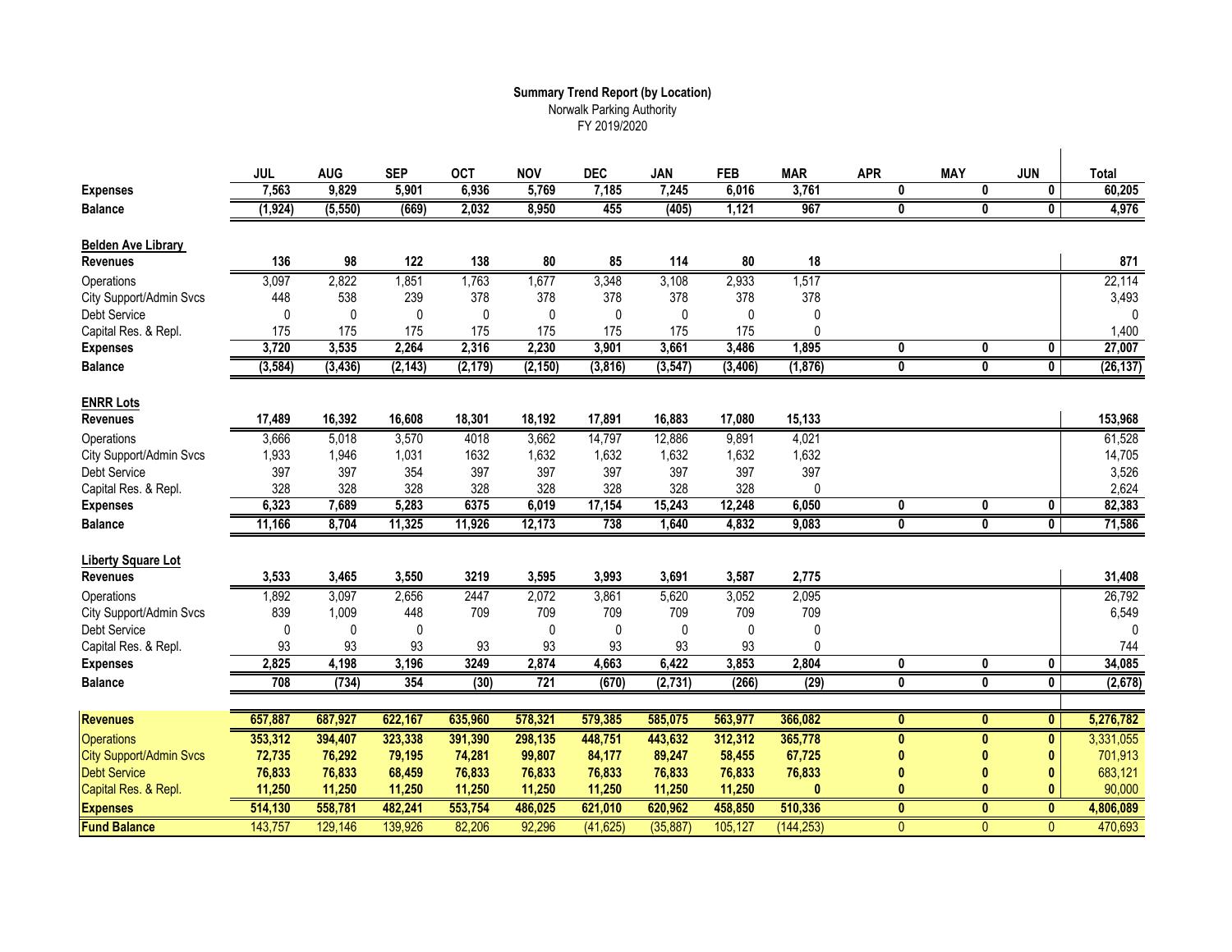## **Summary Trend Report (by Location)** Norwalk Parking Authority FY 2019/2020

| <b>Expenses</b>                | <b>JUL</b><br>7,563 | <b>AUG</b><br>9,829 | <b>SEP</b><br>5,901 | <b>OCT</b><br>6,936 | <b>NOV</b><br>5,769 | <b>DEC</b><br>7,185 | <b>JAN</b><br>7,245 | <b>FEB</b><br>6,016 | <b>MAR</b><br>3,761 | <b>APR</b><br>0 | <b>MAY</b><br>0 | <b>JUN</b><br>0         | <b>Total</b><br>60,205 |
|--------------------------------|---------------------|---------------------|---------------------|---------------------|---------------------|---------------------|---------------------|---------------------|---------------------|-----------------|-----------------|-------------------------|------------------------|
| <b>Balance</b>                 | (1, 924)            | (5, 550)            | (669)               | 2,032               | 8,950               | 455                 | (405)               | 1,121               | 967                 | 0               | $\bf{0}$        | $\overline{\mathbf{0}}$ | 4,976                  |
|                                |                     |                     |                     |                     |                     |                     |                     |                     |                     |                 |                 |                         |                        |
| <b>Belden Ave Library</b>      |                     |                     |                     |                     |                     |                     |                     |                     |                     |                 |                 |                         |                        |
| <b>Revenues</b>                | 136                 | 98                  | 122                 | 138                 | 80                  | 85                  | 114                 | 80                  | 18                  |                 |                 |                         | 871                    |
| Operations                     | 3,097               | 2,822               | 1,851               | 1,763               | 1,677               | 3,348               | 3,108               | 2,933               | 1,517               |                 |                 |                         | 22,114                 |
| City Support/Admin Svcs        | 448                 | 538                 | 239                 | 378                 | 378                 | 378                 | 378                 | 378                 | 378                 |                 |                 |                         | 3,493                  |
| Debt Service                   | 0                   | $\Omega$            | $\mathbf{0}$        | $\mathbf{0}$        | 0                   | $\mathbf{0}$        | $\Omega$            | $\Omega$            | $\Omega$            |                 |                 |                         | $\Omega$               |
| Capital Res. & Repl.           | 175                 | 175                 | 175                 | 175                 | 175                 | 175                 | 175                 | 175                 | $\Omega$            |                 |                 |                         | 1,400                  |
| <b>Expenses</b>                | 3,720               | 3,535               | 2,264               | 2,316               | 2,230               | 3,901               | 3,661               | 3,486               | 1,895               | 0               | 0               | 0                       | 27,007                 |
| <b>Balance</b>                 | (3, 584)            | (3, 436)            | (2, 143)            | (2, 179)            | (2, 150)            | (3,816)             | (3, 547)            | (3, 406)            | (1, 876)            | 0               | 0               | $\overline{\mathbf{0}}$ | (26, 137)              |
| <b>ENRR Lots</b>               |                     |                     |                     |                     |                     |                     |                     |                     |                     |                 |                 |                         |                        |
| <b>Revenues</b>                | 17,489              | 16,392              | 16,608              | 18,301              | 18,192              | 17,891              | 16,883              | 17,080              | 15,133              |                 |                 |                         | 153,968                |
| Operations                     | 3,666               | 5,018               | 3,570               | 4018                | 3,662               | 14,797              | 12,886              | 9,891               | 4,021               |                 |                 |                         | 61,528                 |
| City Support/Admin Svcs        | 1,933               | 1,946               | 1,031               | 1632                | 1,632               | 1,632               | 1,632               | 1,632               | 1,632               |                 |                 |                         | 14,705                 |
| Debt Service                   | 397                 | 397                 | 354                 | 397                 | 397                 | 397                 | 397                 | 397                 | 397                 |                 |                 |                         | 3,526                  |
| Capital Res. & Repl.           | 328                 | 328                 | 328                 | 328                 | 328                 | 328                 | 328                 | 328                 | $\mathbf 0$         |                 |                 |                         | 2,624                  |
| <b>Expenses</b>                | 6,323               | 7,689               | 5,283               | 6375                | 6,019               | 17,154              | 15,243              | 12,248              | 6,050               | 0               | 0               | 0                       | 82,383                 |
| <b>Balance</b>                 | 11,166              | 8,704               | 11,325              | 11,926              | 12,173              | 738                 | 1,640               | 4,832               | 9,083               | 0               | 0               | $\overline{\mathbf{0}}$ | 71,586                 |
|                                |                     |                     |                     |                     |                     |                     |                     |                     |                     |                 |                 |                         |                        |
| <b>Liberty Square Lot</b>      |                     |                     |                     |                     |                     |                     |                     |                     |                     |                 |                 |                         |                        |
| <b>Revenues</b>                | 3,533               | 3,465               | 3,550               | 3219                | 3,595               | 3,993               | 3,691               | 3,587               | 2,775               |                 |                 |                         | 31,408                 |
| Operations                     | 1,892               | 3,097               | 2,656               | 2447                | 2,072               | 3,861               | 5,620               | 3,052               | 2,095               |                 |                 |                         | 26,792                 |
| City Support/Admin Svcs        | 839                 | 1,009               | 448                 | 709                 | 709                 | 709                 | 709                 | 709                 | 709                 |                 |                 |                         | 6,549                  |
| Debt Service                   | 0                   | $\mathbf{0}$        | $\mathbf{0}$        |                     | 0                   | $\mathbf 0$         | $\Omega$            | 0                   | $\Omega$            |                 |                 |                         | $\Omega$               |
| Capital Res. & Repl.           | 93                  | 93                  | 93                  | 93                  | 93                  | 93                  | 93                  | 93                  | $\Omega$            |                 |                 |                         | 744                    |
| <b>Expenses</b>                | 2,825               | 4,198               | 3,196               | 3249                | 2,874               | 4,663               | 6,422               | 3,853               | 2,804               | 0               | 0               | 0                       | 34,085                 |
| <b>Balance</b>                 | 708                 | (734)               | 354                 | (30)                | 721                 | (670)               | (2, 731)            | (266)               | (29)                | 0               | $\bf{0}$        | $\overline{\mathbf{0}}$ | (2,678)                |
| <b>Revenues</b>                | 657,887             | 687,927             | 622,167             | 635,960             | 578,321             | 579,385             | 585,075             | 563,977             | 366,082             | $\mathbf{0}$    | $\mathbf{0}$    | $\mathbf{0}$            | 5,276,782              |
|                                |                     |                     |                     |                     |                     |                     |                     |                     |                     |                 |                 |                         |                        |
| <b>Operations</b>              | 353,312             | 394,407             | 323,338             | 391,390             | 298,135             | 448,751             | 443,632             | 312,312             | 365,778             | $\mathbf{0}$    | $\bf{0}$        | $\pmb{0}$               | 3,331,055              |
| <b>City Support/Admin Svcs</b> | 72,735              | 76,292              | 79,195              | 74,281              | 99,807              | 84,177              | 89,247              | 58,455              | 67,725              |                 |                 | $\mathbf{0}$            | 701,913                |
| <b>Debt Service</b>            | 76,833              | 76,833              | 68,459              | 76,833              | 76,833              | 76,833              | 76,833              | 76,833              | 76,833              |                 |                 | $\mathbf{0}$            | 683,121                |
| Capital Res. & Repl.           | 11,250              | 11,250              | 11,250              | 11,250              | 11,250              | 11,250              | 11,250              | 11,250              | $\mathbf{0}$        | 0               |                 | $\mathbf{0}$            | 90,000                 |
| <b>Expenses</b>                | 514,130             | 558,781             | 482,241             | 553,754             | 486,025             | 621,010             | 620,962             | 458,850             | 510,336             | $\mathbf{0}$    | $\mathbf{0}$    | $\mathbf{0}$            | 4,806,089              |
| <b>Fund Balance</b>            | 143,757             | 129,146             | 139,926             | 82,206              | 92,296              | (41, 625)           | (35, 887)           | 105,127             | (144, 253)          | $\mathbf{0}$    | $\mathbf{0}$    | 0                       | 470,693                |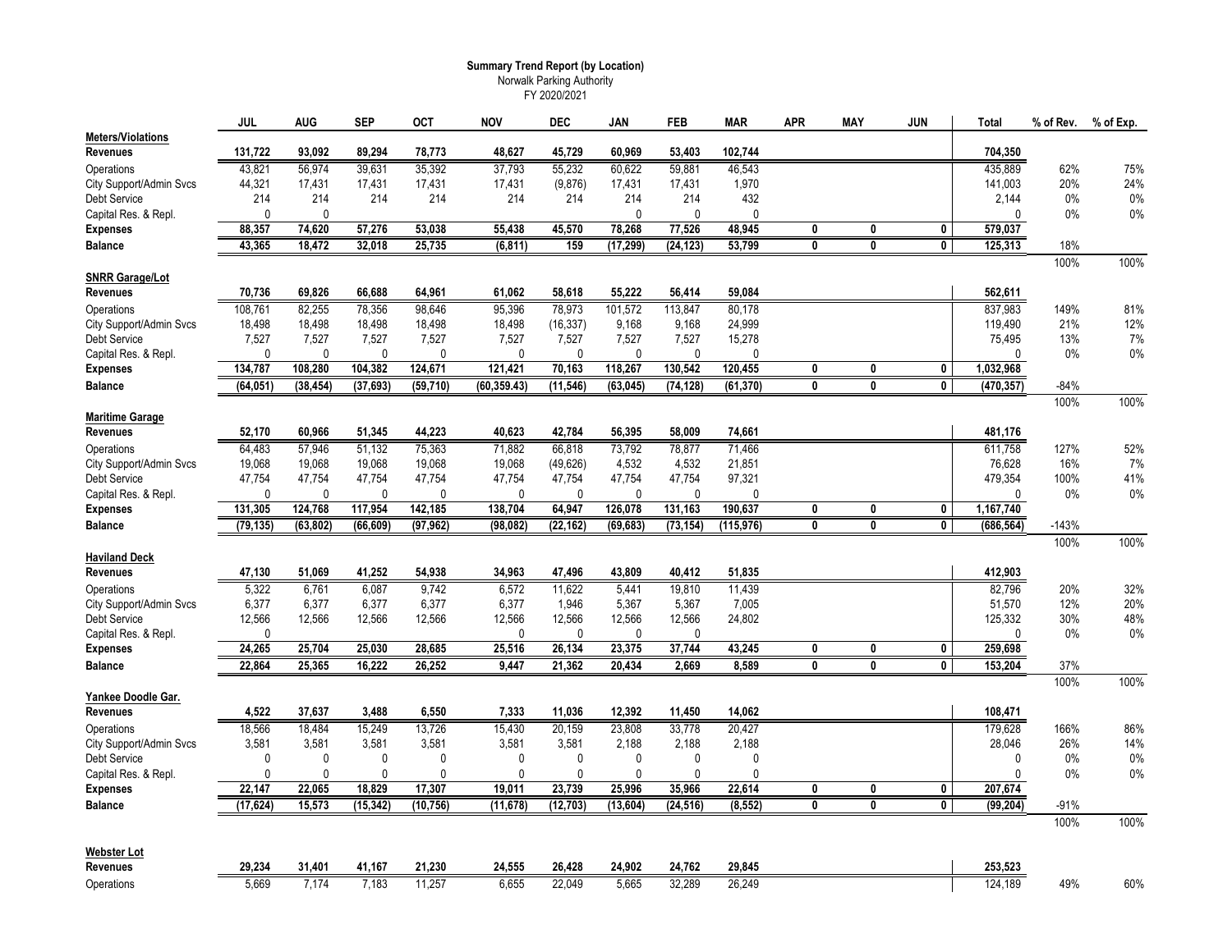#### **Summary Trend Report (by Location)**

Norwalk Parking Authority FY 2020/2021

|                          | <b>JUL</b>   | <b>AUG</b>   | <b>SEP</b>   | OCT          | <b>NOV</b>   | <b>DEC</b>   | JAN          | <b>FEB</b>   | <b>MAR</b>   | <b>APR</b>   | <b>MAY</b>              | <b>JUN</b>              | Total        | % of Rev. | % of Exp. |
|--------------------------|--------------|--------------|--------------|--------------|--------------|--------------|--------------|--------------|--------------|--------------|-------------------------|-------------------------|--------------|-----------|-----------|
| <b>Meters/Violations</b> |              |              |              |              |              |              |              |              |              |              |                         |                         |              |           |           |
| <b>Revenues</b>          | 131,722      | 93.092       | 89,294       | 78,773       | 48,627       | 45,729       | 60.969       | 53.403       | 102,744      |              |                         |                         | 704,350      |           |           |
| Operations               | 43,821       | 56.974       | 39.631       | 35,392       | 37,793       | 55,232       | 60.622       | 59.881       | 46,543       |              |                         |                         | 435.889      | 62%       | 75%       |
| City Support/Admin Svcs  | 44,321       | 17,431       | 17,431       | 17,431       | 17,431       | (9,876)      | 17,431       | 17,431       | 1,970        |              |                         |                         | 141,003      | 20%       | 24%       |
| Debt Service             | 214          | 214          | 214          | 214          | 214          | 214          | 214          | 214          | 432          |              |                         |                         | 2,144        | 0%        | $0\%$     |
| Capital Res. & Repl.     | $\Omega$     | 0            |              |              |              |              | 0            | $\mathbf{0}$ | $\mathbf{0}$ |              |                         |                         | 0            | 0%        | $0\%$     |
| <b>Expenses</b>          | 88,357       | 74,620       | 57,276       | 53,038       | 55,438       | 45,570       | 78,268       | 77,526       | 48,945       | 0            | 0                       | 0                       | 579,037      |           |           |
| <b>Balance</b>           | 43.365       | 18,472       | 32,018       | 25,735       | (6, 811)     | 159          | (17, 299)    | (24, 123)    | 53,799       | $\mathbf{0}$ | $\overline{\mathbf{0}}$ | $\overline{0}$          | 125,313      | 18%       |           |
|                          |              |              |              |              |              |              |              |              |              |              |                         |                         |              | 100%      | 100%      |
| <b>SNRR Garage/Lot</b>   |              |              |              |              |              |              |              |              |              |              |                         |                         |              |           |           |
| <b>Revenues</b>          | 70,736       | 69,826       | 66,688       | 64,961       | 61,062       | 58,618       | 55,222       | 56,414       | 59,084       |              |                         |                         | 562,611      |           |           |
| Operations               | 108.761      | 82.255       | 78.356       | 98.646       | 95.396       | 78.973       | 101.572      | 113.847      | 80.178       |              |                         |                         | 837.983      | 149%      | 81%       |
| City Support/Admin Svcs  | 18,498       | 18,498       | 18,498       | 18,498       | 18,498       | (16, 337)    | 9,168        | 9,168        | 24,999       |              |                         |                         | 119,490      | 21%       | 12%       |
| Debt Service             | 7,527        | 7,527        | 7,527        | 7,527        | 7,527        | 7,527        | 7,527        | 7,527        | 15,278       |              |                         |                         | 75,495       | 13%       | 7%        |
| Capital Res. & Repl.     | $\mathbf{0}$ | 0            | $\mathbf{0}$ | $\mathbf{0}$ | $\mathbf 0$  | $\mathbf{0}$ | $\mathbf 0$  | $\mathbf{0}$ | $\mathbf{0}$ |              |                         |                         | $\mathbf{0}$ | 0%        | $0\%$     |
| <b>Expenses</b>          | 134,787      | 108,280      | 104,382      | 124,671      | 121,421      | 70,163       | 118,267      | 130,542      | 120,455      | 0            | 0                       | 0                       | 1,032,968    |           |           |
| <b>Balance</b>           | (64, 051)    | (38, 454)    | (37, 693)    | (59, 710)    | (60, 359.43) | (11, 546)    | (63, 045)    | (74, 128)    | (61, 370)    | $\mathbf{0}$ | 0                       | $\mathbf{0}$            | (470, 357)   | $-84%$    |           |
|                          |              |              |              |              |              |              |              |              |              |              |                         |                         |              | 100%      | 100%      |
| <b>Maritime Garage</b>   |              |              |              |              |              |              |              |              |              |              |                         |                         |              |           |           |
| <b>Revenues</b>          | 52,170       | 60,966       | 51,345       | 44,223       | 40,623       | 42,784       | 56,395       | 58,009       | 74,661       |              |                         |                         | 481,176      |           |           |
| Operations               | 64.483       | 57.946       | 51.132       | 75,363       | 71.882       | 66.818       | 73,792       | 78.877       | 71,466       |              |                         |                         | 611.758      | 127%      | 52%       |
| City Support/Admin Svcs  | 19,068       | 19,068       | 19,068       | 19,068       | 19,068       | (49, 626)    | 4,532        | 4,532        | 21,851       |              |                         |                         | 76,628       | 16%       | 7%        |
| Debt Service             | 47,754       | 47,754       | 47,754       | 47,754       | 47,754       | 47,754       | 47,754       | 47,754       | 97,321       |              |                         |                         | 479,354      | 100%      | 41%       |
| Capital Res. & Repl.     | $\mathbf{0}$ | $\mathbf{0}$ | $\mathbf{0}$ | $\Omega$     | $\mathbf{0}$ | $\Omega$     | $\mathbf{0}$ | $\mathbf{0}$ | $\mathbf{0}$ |              |                         |                         | $\mathbf{0}$ | 0%        | 0%        |
| <b>Expenses</b>          | 131,305      | 124,768      | 117,954      | 142,185      | 138,704      | 64,947       | 126,078      | 131,163      | 190,637      | 0            | 0                       | 0                       | 1,167,740    |           |           |
| <b>Balance</b>           | (79, 135)    | (63, 802)    | (66, 609)    | (97, 962)    | (98, 082)    | (22, 162)    | (69, 683)    | (73, 154)    | (115, 976)   | $\mathbf{0}$ | $\mathbf{0}$            | $\mathbf{0}$            | (686, 564)   | -143%     |           |
|                          |              |              |              |              |              |              |              |              |              |              |                         |                         |              | 100%      | 100%      |
| <b>Haviland Deck</b>     |              |              |              |              |              |              |              |              |              |              |                         |                         |              |           |           |
| <b>Revenues</b>          | 47,130       | 51,069       | 41,252       | 54,938       | 34,963       | 47,496       | 43,809       | 40,412       | 51,835       |              |                         |                         | 412,903      |           |           |
| Operations               | 5.322        | 6.761        | 6.087        | 9.742        | 6.572        | 11.622       | 5.441        | 19.810       | 11.439       |              |                         |                         | 82.796       | 20%       | 32%       |
| City Support/Admin Svcs  | 6,377        | 6,377        | 6,377        | 6,377        | 6,377        | 1,946        | 5,367        | 5,367        | 7,005        |              |                         |                         | 51,570       | 12%       | 20%       |
| Debt Service             | 12,566       | 12,566       | 12,566       | 12,566       | 12,566       | 12,566       | 12,566       | 12,566       | 24,802       |              |                         |                         | 125,332      | 30%       | 48%       |
| Capital Res. & Repl.     | $\mathbf{0}$ |              |              |              | $\mathbf{0}$ | $\mathbf{0}$ | $\mathbf{0}$ | $\mathbf{0}$ |              |              |                         |                         | $\mathbf{0}$ | 0%        | 0%        |
| <b>Expenses</b>          | 24,265       | 25,704       | 25,030       | 28,685       | 25,516       | 26,134       | 23,375       | 37,744       | 43,245       | 0            | 0                       | $\mathbf 0$             | 259,698      |           |           |
| <b>Balance</b>           | 22,864       | 25,365       | 16,222       | 26,252       | 9,447        | 21,362       | 20,434       | 2,669        | 8,589        | $\mathbf{0}$ | $\mathbf{0}$            | $\overline{0}$          | 153,204      | 37%       |           |
|                          |              |              |              |              |              |              |              |              |              |              |                         |                         |              | 100%      | 100%      |
| Yankee Doodle Gar.       |              |              |              |              |              |              |              |              |              |              |                         |                         |              |           |           |
| <b>Revenues</b>          | 4,522        | 37,637       | 3,488        | 6,550        | 7,333        | 11,036       | 12,392       | 11,450       | 14,062       |              |                         |                         | 108,471      |           |           |
| Operations               | 18.566       | 18.484       | 15,249       | 13.726       | 15,430       | 20.159       | 23.808       | 33.778       | 20,427       |              |                         |                         | 179.628      | 166%      | 86%       |
| City Support/Admin Svcs  | 3,581        | 3,581        | 3,581        | 3,581        | 3,581        | 3,581        | 2,188        | 2,188        | 2,188        |              |                         |                         | 28,046       | 26%       | 14%       |
| Debt Service             | $\mathbf 0$  | 0            | $\mathbf 0$  | 0            | $\mathbf 0$  | $\mathbf{0}$ | $\pmb{0}$    | 0            | $\mathbf 0$  |              |                         |                         | <sup>0</sup> | 0%        | 0%        |
| Capital Res. & Repl.     | $\Omega$     | $\mathbf{0}$ | $\mathbf{0}$ | $\mathbf{0}$ | $\mathbf 0$  | $\Omega$     | $\mathbf{0}$ | $\mathbf{0}$ | $\Omega$     |              |                         |                         | 0            | 0%        | 0%        |
| <b>Expenses</b>          | 22,147       | 22,065       | 18,829       | 17,307       | 19,011       | 23,739       | 25,996       | 35,966       | 22,614       | 0            | 0                       | $\mathbf 0$             | 207,674      |           |           |
| <b>Balance</b>           | (17, 624)    | 15,573       | (15, 342)    | (10, 756)    | (11, 678)    | (12, 703)    | (13, 604)    | (24, 516)    | (8, 552)     | $\mathbf{0}$ | $\overline{0}$          | $\overline{\mathbf{0}}$ | (99, 204)    | $-91%$    |           |
|                          |              |              |              |              |              |              |              |              |              |              |                         |                         |              | 100%      | 100%      |
|                          |              |              |              |              |              |              |              |              |              |              |                         |                         |              |           |           |
| <b>Webster Lot</b>       |              |              |              |              |              |              |              |              |              |              |                         |                         |              |           |           |
| <b>Revenues</b>          | 29,234       | 31,401       | 41,167       | 21,230       | 24,555       | 26,428       | 24,902       | 24,762       | 29,845       |              |                         |                         | 253,523      |           |           |
| Operations               | 5.669        | 7.174        | 7.183        | 11.257       | 6.655        | 22.049       | 5.665        | 32.289       | 26.249       |              |                         |                         | 124.189      | 49%       | 60%       |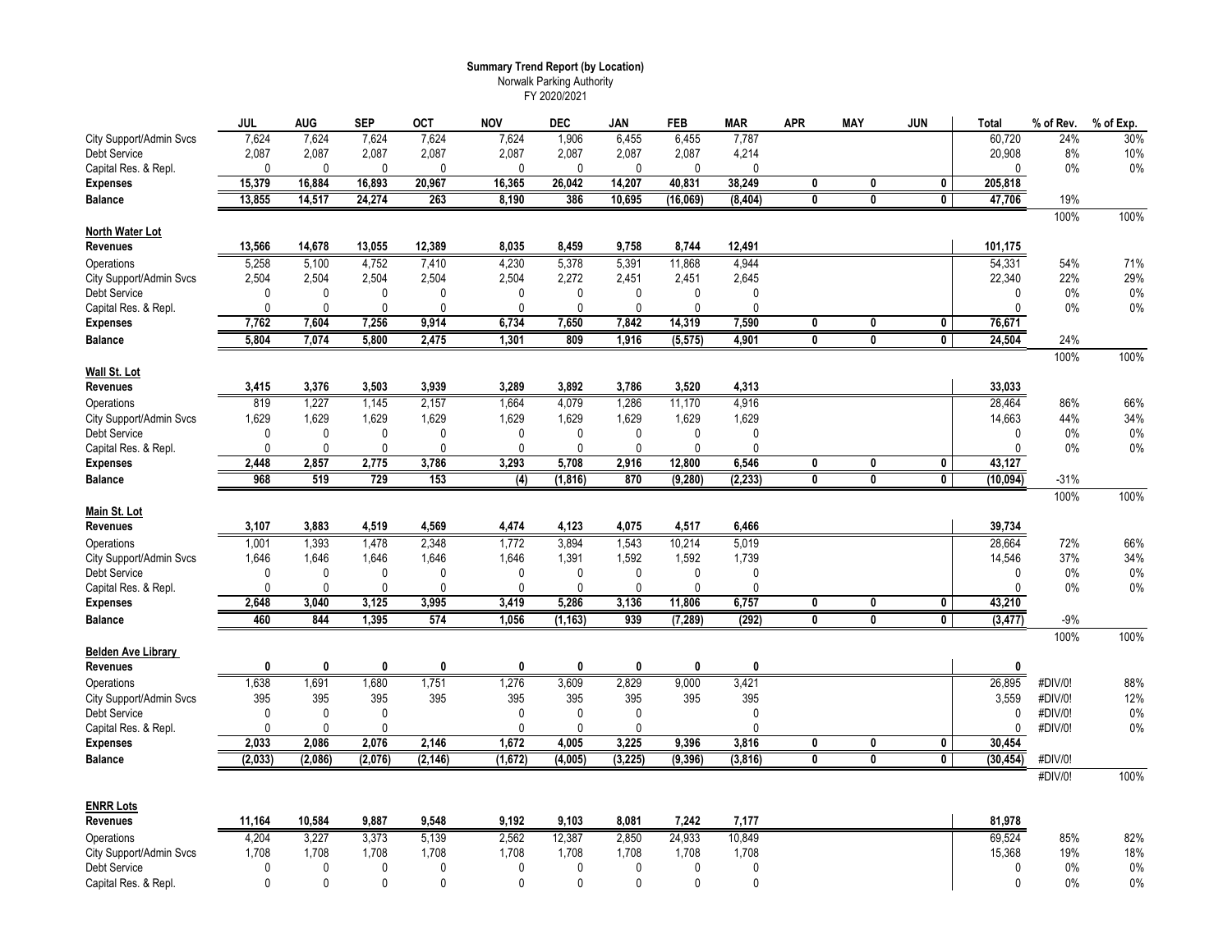# **Summary Trend Report (by Location)**

Norwalk Parking Authority FY 2020/2021

| 7,624<br>7,624<br>7,624<br>7,624<br>1,906<br>6,455<br>6,455<br>7,787<br>60,720<br>24%<br>30%<br>City Support/Admin Svcs<br>7,624<br>Debt Service<br>2,087<br>2,087<br>2,087<br>2,087<br>2,087<br>2,087<br>2,087<br>2,087<br>4,214<br>20,908<br>8%<br>10%<br>Capital Res. & Repl.<br>$\mathbf{0}$<br>$\mathbf{0}$<br>$\mathbf{0}$<br>$\mathbf 0$<br>$\mathbf 0$<br>$\mathbf{0}$<br>0%<br>$\mathbf{0}$<br>$\mathbf 0$<br>$\mathbf{0}$<br>$\mathbf 0$<br>0%<br>15,379<br>16,884<br>16,893<br>20,967<br>16,365<br>26,042<br>14,207<br>40,831<br>38,249<br>0<br>0<br>$\mathbf{0}$<br>205,818<br><b>Expenses</b><br>14,517<br>24,274<br>263<br>8,190<br>10.695<br>47,706<br>13,855<br>386<br>(16,069)<br>(8, 404)<br>$\overline{\mathbf{0}}$<br><b>Balance</b><br>0<br>0<br>19%<br>100%<br>100%<br>North Water Lot<br><b>Revenues</b><br>13,566<br>14,678<br>13,055<br>12,389<br>8,035<br>8,459<br>9,758<br>8,744<br>12,491<br>101,175<br>5,378<br>54,331<br>5,258<br>5,100<br>4,752<br>7,410<br>4,230<br>5,391<br>11,868<br>4,944<br>54%<br>71%<br>Operations<br>22%<br>29%<br>City Support/Admin Svcs<br>2,504<br>2,504<br>2,504<br>2,504<br>2,504<br>2,272<br>2,451<br>2,451<br>2,645<br>22,340<br>Debt Service<br>$\mathbf{0}$<br>$\mathbf 0$<br>0%<br>0%<br>$\Omega$<br>$\mathbf{0}$<br>0<br>$\mathbf{0}$<br>$\mathbf{0}$<br>0<br>$\Omega$<br>$\Omega$<br>Capital Res. & Repl.<br>$\mathbf{0}$<br>$\mathbf{0}$<br>$\mathbf{0}$<br>0<br>$\mathbf{0}$<br>$\mathbf{0}$<br>0%<br>0%<br>$\mathbf{0}$<br>$\Omega$<br>$\Omega$<br>0<br>7,762<br>7,604<br>7,256<br>9,914<br>6,734<br>7,650<br>7,842<br>14,319<br>7,590<br>76,671<br><b>Expenses</b><br>0<br>0<br>0<br>$\overline{0}$<br>$\overline{0}$<br>$\overline{\mathbf{0}}$<br>5.804<br>7,074<br>5,800<br>2,475<br>1,301<br>809<br>1,916<br>(5, 575)<br>4,901<br>24,504<br><b>Balance</b><br>24%<br>100%<br>100%<br>Wall St. Lot<br>3,415<br>3,376<br>3,503<br>3,939<br>3,289<br>3,892<br>3,786<br>3,520<br>4,313<br>33,033<br><b>Revenues</b><br>819<br>1,227<br>2,157<br>4,079<br>1,286<br>4,916<br>28,464<br>1,145<br>1,664<br>11,170<br>86%<br>66%<br>Operations<br>34%<br>1,629<br>1,629<br>1,629<br>1,629<br>1,629<br>1,629<br>1,629<br>1,629<br>1,629<br>14,663<br>44%<br>City Support/Admin Svcs<br>$\pmb{0}$<br>$\mathbf 0$<br>$\pmb{0}$<br>Debt Service<br>0<br>$\mathbf{0}$<br>$\mathbf{0}$<br>0<br>0<br>$\mathbf{0}$<br>0%<br>0%<br>$\mathbf{0}$<br>$\mathbf{0}$<br>0<br>Capital Res. & Repl.<br>0<br>$\mathbf 0$<br>$\Omega$<br>$\Omega$<br>$\mathbf 0$<br>$\mathbf 0$<br>$\Omega$<br>$0\%$<br>$\mathbf{0}$<br>0%<br>2,448<br>2,775<br>3,786<br>3,293<br>2,916<br>6,546<br>43,127<br>2,857<br>5,708<br>12,800<br>0<br>0<br>0<br><b>Expenses</b><br>968<br>519<br>729<br>153<br>(4)<br>(1, 816)<br>870<br>(9, 280)<br>(2, 233)<br>0<br>$\mathbf{0}$<br>0<br>(10, 094)<br>$-31%$<br><b>Balance</b><br>100%<br>100%<br>Main St. Lot<br><b>Revenues</b><br>3,883<br>4,519<br>4,569<br>4,474<br>4,123<br>4,075<br>4,517<br>6,466<br>3,107<br>39,734<br>28,664<br>1,001<br>1,393<br>2,348<br>1,772<br>3,894<br>1,543<br>10,214<br>5,019<br>1,478<br>72%<br>66%<br>Operations<br>37%<br>34%<br>City Support/Admin Svcs<br>1,646<br>1,646<br>1,646<br>1,646<br>1,646<br>1,391<br>1,592<br>1,592<br>1,739<br>14,546<br>Debt Service<br>$\Omega$<br>$\mathbf 0$<br>$\mathbf 0$<br>$\mathbf{0}$<br>$\mathbf{0}$<br>$\mathbf 0$<br>$\mathbf 0$<br>$\mathbf 0$<br>$\mathbf{0}$<br>0%<br>$0\%$<br>$\mathbf{0}$<br>$0\%$<br>Capital Res. & Repl.<br>$\Omega$<br>$\mathbf{0}$<br>$\mathbf{0}$<br>$\Omega$<br>$\Omega$<br>0<br>0<br>$\mathbf{0}$<br>$\Omega$<br>0%<br>$\mathbf{0}$<br>3,125<br>3,995<br>6,757<br>43,210<br>2,648<br>3,040<br>3,419<br>5,286<br>3,136<br>11,806<br>0<br>0<br>0<br><b>Expenses</b><br>574<br>939<br>(292)<br>$\overline{\mathbf{0}}$<br>$\overline{0}$<br>$\overline{\mathbf{0}}$<br>(3, 477)<br>460<br>844<br>1.395<br>1,056<br>(1, 163)<br>(7, 289)<br>$-9%$<br><b>Balance</b><br>100%<br>100%<br><b>Belden Ave Library</b><br>Revenues<br>0<br>0<br>0<br>0<br>0<br>0<br>$\mathbf{0}$<br>0<br>0<br>$\mathbf{0}$<br>3,609<br>1,691<br>1,680<br>1,276<br>2,829<br>9,000<br>88%<br>Operations<br>1,638<br>1,751<br>3,421<br>26,895<br>#DIV/0!<br>395<br>395<br>395<br>395<br>395<br>395<br>395<br>395<br>12%<br>395<br>3,559<br>#DIV/0!<br>City Support/Admin Svcs<br>$\mathbf{0}$<br>$\mathbf{0}$<br>$\mathbf 0$<br>$\mathbf{0}$<br>$\mathbf 0$<br>$\pmb{0}$<br>$\mathbf{0}$<br>#DIV/0!<br>$0\%$<br>Debt Service<br>$\mathbf{0}$<br>0<br>Capital Res. & Repl.<br>0<br>0<br>$\mathbf 0$<br>$\mathbf{0}$<br>0<br>$\Omega$<br>#DIV/0!<br>0%<br>$\mathbf 0$<br>3,225<br>3,816<br>2,033<br>2,086<br>2,076<br>2,146<br>1,672<br>4,005<br>9,396<br>30,454<br><b>Expenses</b><br>0<br>0<br>0<br>(4,005)<br>(3, 225)<br>(9, 396)<br>(3, 816)<br>$\overline{\mathbf{0}}$<br>(2, 033)<br>(2,086)<br>(2,076)<br>(2, 146)<br>(1,672)<br>$\overline{\mathbf{0}}$<br>$\overline{\mathbf{0}}$<br>(30, 454)<br>#DIV/0!<br><b>Balance</b><br>100%<br>#DIV/0!<br><b>ENRR Lots</b><br>9,103<br><b>Revenues</b><br>11,164<br>10,584<br>9,887<br>9,548<br>9,192<br>8,081<br>7,242<br>7,177<br>81,978<br>4.204<br>3.227<br>5,139<br>2,562<br>12,387<br>2.850<br>24,933<br>10.849<br>69,524<br>3,373<br>85%<br>82%<br>Operations<br>1,708<br>1,708<br>19%<br>18%<br>City Support/Admin Svcs<br>1,708<br>1,708<br>1,708<br>1,708<br>1,708<br>1,708<br>1,708<br>15,368<br>$\mathbf{0}$<br>$\mathbf{0}$<br>$\Omega$<br>$\mathbf 0$<br>$\mathbf{0}$<br>$\mathbf{0}$<br>0%<br>0%<br>Debt Service<br>$\Omega$<br>$\Omega$<br>$\Omega$<br>$\mathbf{0}$<br>Capital Res. & Repl.<br>0<br>$\mathbf{0}$<br>$\mathbf{0}$<br>$\Omega$<br>$\mathbf{0}$<br>0<br>0<br>$\mathbf{0}$<br>$\mathbf{0}$<br>0%<br>0%<br>$\Omega$ | <b>JUL</b> | AUG | <b>SEP</b> | <b>OCT</b> | <b>NOV</b> | <b>DEC</b> | JAN | FEB | <b>MAR</b> | <b>APR</b> | <b>MAY</b> | <b>JUN</b> | Total | % of Rev. | % of Exp. |
|-----------------------------------------------------------------------------------------------------------------------------------------------------------------------------------------------------------------------------------------------------------------------------------------------------------------------------------------------------------------------------------------------------------------------------------------------------------------------------------------------------------------------------------------------------------------------------------------------------------------------------------------------------------------------------------------------------------------------------------------------------------------------------------------------------------------------------------------------------------------------------------------------------------------------------------------------------------------------------------------------------------------------------------------------------------------------------------------------------------------------------------------------------------------------------------------------------------------------------------------------------------------------------------------------------------------------------------------------------------------------------------------------------------------------------------------------------------------------------------------------------------------------------------------------------------------------------------------------------------------------------------------------------------------------------------------------------------------------------------------------------------------------------------------------------------------------------------------------------------------------------------------------------------------------------------------------------------------------------------------------------------------------------------------------------------------------------------------------------------------------------------------------------------------------------------------------------------------------------------------------------------------------------------------------------------------------------------------------------------------------------------------------------------------------------------------------------------------------------------------------------------------------------------------------------------------------------------------------------------------------------------------------------------------------------------------------------------------------------------------------------------------------------------------------------------------------------------------------------------------------------------------------------------------------------------------------------------------------------------------------------------------------------------------------------------------------------------------------------------------------------------------------------------------------------------------------------------------------------------------------------------------------------------------------------------------------------------------------------------------------------------------------------------------------------------------------------------------------------------------------------------------------------------------------------------------------------------------------------------------------------------------------------------------------------------------------------------------------------------------------------------------------------------------------------------------------------------------------------------------------------------------------------------------------------------------------------------------------------------------------------------------------------------------------------------------------------------------------------------------------------------------------------------------------------------------------------------------------------------------------------------------------------------------------------------------------------------------------------------------------------------------------------------------------------------------------------------------------------------------------------------------------------------------------------------------------------------------------------------------------------------------------------------------------------------------------------------------------------------------------------------------------------------------------------------------------------------------------------------------------------------------------------------------------------------------------------------------------------------------------------------------------------------------------------------------------------------------------------------------------------------------------------------------------------------------------------------------------------------------------------------------------------------------------------------------------------------------------------------------------------------------------------------------------------------------------------------------------------------------------------------------------------------------------------------------------------------------------------------------------------------------------------------------------------------------------------------------------------------------------------------|------------|-----|------------|------------|------------|------------|-----|-----|------------|------------|------------|------------|-------|-----------|-----------|
|                                                                                                                                                                                                                                                                                                                                                                                                                                                                                                                                                                                                                                                                                                                                                                                                                                                                                                                                                                                                                                                                                                                                                                                                                                                                                                                                                                                                                                                                                                                                                                                                                                                                                                                                                                                                                                                                                                                                                                                                                                                                                                                                                                                                                                                                                                                                                                                                                                                                                                                                                                                                                                                                                                                                                                                                                                                                                                                                                                                                                                                                                                                                                                                                                                                                                                                                                                                                                                                                                                                                                                                                                                                                                                                                                                                                                                                                                                                                                                                                                                                                                                                                                                                                                                                                                                                                                                                                                                                                                                                                                                                                                                                                                                                                                                                                                                                                                                                                                                                                                                                                                                                                                                                                                                                                                                                                                                                                                                                                                                                                                                                                                                                                                                                                                           |            |     |            |            |            |            |     |     |            |            |            |            |       |           |           |
|                                                                                                                                                                                                                                                                                                                                                                                                                                                                                                                                                                                                                                                                                                                                                                                                                                                                                                                                                                                                                                                                                                                                                                                                                                                                                                                                                                                                                                                                                                                                                                                                                                                                                                                                                                                                                                                                                                                                                                                                                                                                                                                                                                                                                                                                                                                                                                                                                                                                                                                                                                                                                                                                                                                                                                                                                                                                                                                                                                                                                                                                                                                                                                                                                                                                                                                                                                                                                                                                                                                                                                                                                                                                                                                                                                                                                                                                                                                                                                                                                                                                                                                                                                                                                                                                                                                                                                                                                                                                                                                                                                                                                                                                                                                                                                                                                                                                                                                                                                                                                                                                                                                                                                                                                                                                                                                                                                                                                                                                                                                                                                                                                                                                                                                                                           |            |     |            |            |            |            |     |     |            |            |            |            |       |           |           |
|                                                                                                                                                                                                                                                                                                                                                                                                                                                                                                                                                                                                                                                                                                                                                                                                                                                                                                                                                                                                                                                                                                                                                                                                                                                                                                                                                                                                                                                                                                                                                                                                                                                                                                                                                                                                                                                                                                                                                                                                                                                                                                                                                                                                                                                                                                                                                                                                                                                                                                                                                                                                                                                                                                                                                                                                                                                                                                                                                                                                                                                                                                                                                                                                                                                                                                                                                                                                                                                                                                                                                                                                                                                                                                                                                                                                                                                                                                                                                                                                                                                                                                                                                                                                                                                                                                                                                                                                                                                                                                                                                                                                                                                                                                                                                                                                                                                                                                                                                                                                                                                                                                                                                                                                                                                                                                                                                                                                                                                                                                                                                                                                                                                                                                                                                           |            |     |            |            |            |            |     |     |            |            |            |            |       |           |           |
|                                                                                                                                                                                                                                                                                                                                                                                                                                                                                                                                                                                                                                                                                                                                                                                                                                                                                                                                                                                                                                                                                                                                                                                                                                                                                                                                                                                                                                                                                                                                                                                                                                                                                                                                                                                                                                                                                                                                                                                                                                                                                                                                                                                                                                                                                                                                                                                                                                                                                                                                                                                                                                                                                                                                                                                                                                                                                                                                                                                                                                                                                                                                                                                                                                                                                                                                                                                                                                                                                                                                                                                                                                                                                                                                                                                                                                                                                                                                                                                                                                                                                                                                                                                                                                                                                                                                                                                                                                                                                                                                                                                                                                                                                                                                                                                                                                                                                                                                                                                                                                                                                                                                                                                                                                                                                                                                                                                                                                                                                                                                                                                                                                                                                                                                                           |            |     |            |            |            |            |     |     |            |            |            |            |       |           |           |
|                                                                                                                                                                                                                                                                                                                                                                                                                                                                                                                                                                                                                                                                                                                                                                                                                                                                                                                                                                                                                                                                                                                                                                                                                                                                                                                                                                                                                                                                                                                                                                                                                                                                                                                                                                                                                                                                                                                                                                                                                                                                                                                                                                                                                                                                                                                                                                                                                                                                                                                                                                                                                                                                                                                                                                                                                                                                                                                                                                                                                                                                                                                                                                                                                                                                                                                                                                                                                                                                                                                                                                                                                                                                                                                                                                                                                                                                                                                                                                                                                                                                                                                                                                                                                                                                                                                                                                                                                                                                                                                                                                                                                                                                                                                                                                                                                                                                                                                                                                                                                                                                                                                                                                                                                                                                                                                                                                                                                                                                                                                                                                                                                                                                                                                                                           |            |     |            |            |            |            |     |     |            |            |            |            |       |           |           |
|                                                                                                                                                                                                                                                                                                                                                                                                                                                                                                                                                                                                                                                                                                                                                                                                                                                                                                                                                                                                                                                                                                                                                                                                                                                                                                                                                                                                                                                                                                                                                                                                                                                                                                                                                                                                                                                                                                                                                                                                                                                                                                                                                                                                                                                                                                                                                                                                                                                                                                                                                                                                                                                                                                                                                                                                                                                                                                                                                                                                                                                                                                                                                                                                                                                                                                                                                                                                                                                                                                                                                                                                                                                                                                                                                                                                                                                                                                                                                                                                                                                                                                                                                                                                                                                                                                                                                                                                                                                                                                                                                                                                                                                                                                                                                                                                                                                                                                                                                                                                                                                                                                                                                                                                                                                                                                                                                                                                                                                                                                                                                                                                                                                                                                                                                           |            |     |            |            |            |            |     |     |            |            |            |            |       |           |           |
|                                                                                                                                                                                                                                                                                                                                                                                                                                                                                                                                                                                                                                                                                                                                                                                                                                                                                                                                                                                                                                                                                                                                                                                                                                                                                                                                                                                                                                                                                                                                                                                                                                                                                                                                                                                                                                                                                                                                                                                                                                                                                                                                                                                                                                                                                                                                                                                                                                                                                                                                                                                                                                                                                                                                                                                                                                                                                                                                                                                                                                                                                                                                                                                                                                                                                                                                                                                                                                                                                                                                                                                                                                                                                                                                                                                                                                                                                                                                                                                                                                                                                                                                                                                                                                                                                                                                                                                                                                                                                                                                                                                                                                                                                                                                                                                                                                                                                                                                                                                                                                                                                                                                                                                                                                                                                                                                                                                                                                                                                                                                                                                                                                                                                                                                                           |            |     |            |            |            |            |     |     |            |            |            |            |       |           |           |
|                                                                                                                                                                                                                                                                                                                                                                                                                                                                                                                                                                                                                                                                                                                                                                                                                                                                                                                                                                                                                                                                                                                                                                                                                                                                                                                                                                                                                                                                                                                                                                                                                                                                                                                                                                                                                                                                                                                                                                                                                                                                                                                                                                                                                                                                                                                                                                                                                                                                                                                                                                                                                                                                                                                                                                                                                                                                                                                                                                                                                                                                                                                                                                                                                                                                                                                                                                                                                                                                                                                                                                                                                                                                                                                                                                                                                                                                                                                                                                                                                                                                                                                                                                                                                                                                                                                                                                                                                                                                                                                                                                                                                                                                                                                                                                                                                                                                                                                                                                                                                                                                                                                                                                                                                                                                                                                                                                                                                                                                                                                                                                                                                                                                                                                                                           |            |     |            |            |            |            |     |     |            |            |            |            |       |           |           |
|                                                                                                                                                                                                                                                                                                                                                                                                                                                                                                                                                                                                                                                                                                                                                                                                                                                                                                                                                                                                                                                                                                                                                                                                                                                                                                                                                                                                                                                                                                                                                                                                                                                                                                                                                                                                                                                                                                                                                                                                                                                                                                                                                                                                                                                                                                                                                                                                                                                                                                                                                                                                                                                                                                                                                                                                                                                                                                                                                                                                                                                                                                                                                                                                                                                                                                                                                                                                                                                                                                                                                                                                                                                                                                                                                                                                                                                                                                                                                                                                                                                                                                                                                                                                                                                                                                                                                                                                                                                                                                                                                                                                                                                                                                                                                                                                                                                                                                                                                                                                                                                                                                                                                                                                                                                                                                                                                                                                                                                                                                                                                                                                                                                                                                                                                           |            |     |            |            |            |            |     |     |            |            |            |            |       |           |           |
|                                                                                                                                                                                                                                                                                                                                                                                                                                                                                                                                                                                                                                                                                                                                                                                                                                                                                                                                                                                                                                                                                                                                                                                                                                                                                                                                                                                                                                                                                                                                                                                                                                                                                                                                                                                                                                                                                                                                                                                                                                                                                                                                                                                                                                                                                                                                                                                                                                                                                                                                                                                                                                                                                                                                                                                                                                                                                                                                                                                                                                                                                                                                                                                                                                                                                                                                                                                                                                                                                                                                                                                                                                                                                                                                                                                                                                                                                                                                                                                                                                                                                                                                                                                                                                                                                                                                                                                                                                                                                                                                                                                                                                                                                                                                                                                                                                                                                                                                                                                                                                                                                                                                                                                                                                                                                                                                                                                                                                                                                                                                                                                                                                                                                                                                                           |            |     |            |            |            |            |     |     |            |            |            |            |       |           |           |
|                                                                                                                                                                                                                                                                                                                                                                                                                                                                                                                                                                                                                                                                                                                                                                                                                                                                                                                                                                                                                                                                                                                                                                                                                                                                                                                                                                                                                                                                                                                                                                                                                                                                                                                                                                                                                                                                                                                                                                                                                                                                                                                                                                                                                                                                                                                                                                                                                                                                                                                                                                                                                                                                                                                                                                                                                                                                                                                                                                                                                                                                                                                                                                                                                                                                                                                                                                                                                                                                                                                                                                                                                                                                                                                                                                                                                                                                                                                                                                                                                                                                                                                                                                                                                                                                                                                                                                                                                                                                                                                                                                                                                                                                                                                                                                                                                                                                                                                                                                                                                                                                                                                                                                                                                                                                                                                                                                                                                                                                                                                                                                                                                                                                                                                                                           |            |     |            |            |            |            |     |     |            |            |            |            |       |           |           |
|                                                                                                                                                                                                                                                                                                                                                                                                                                                                                                                                                                                                                                                                                                                                                                                                                                                                                                                                                                                                                                                                                                                                                                                                                                                                                                                                                                                                                                                                                                                                                                                                                                                                                                                                                                                                                                                                                                                                                                                                                                                                                                                                                                                                                                                                                                                                                                                                                                                                                                                                                                                                                                                                                                                                                                                                                                                                                                                                                                                                                                                                                                                                                                                                                                                                                                                                                                                                                                                                                                                                                                                                                                                                                                                                                                                                                                                                                                                                                                                                                                                                                                                                                                                                                                                                                                                                                                                                                                                                                                                                                                                                                                                                                                                                                                                                                                                                                                                                                                                                                                                                                                                                                                                                                                                                                                                                                                                                                                                                                                                                                                                                                                                                                                                                                           |            |     |            |            |            |            |     |     |            |            |            |            |       |           |           |
|                                                                                                                                                                                                                                                                                                                                                                                                                                                                                                                                                                                                                                                                                                                                                                                                                                                                                                                                                                                                                                                                                                                                                                                                                                                                                                                                                                                                                                                                                                                                                                                                                                                                                                                                                                                                                                                                                                                                                                                                                                                                                                                                                                                                                                                                                                                                                                                                                                                                                                                                                                                                                                                                                                                                                                                                                                                                                                                                                                                                                                                                                                                                                                                                                                                                                                                                                                                                                                                                                                                                                                                                                                                                                                                                                                                                                                                                                                                                                                                                                                                                                                                                                                                                                                                                                                                                                                                                                                                                                                                                                                                                                                                                                                                                                                                                                                                                                                                                                                                                                                                                                                                                                                                                                                                                                                                                                                                                                                                                                                                                                                                                                                                                                                                                                           |            |     |            |            |            |            |     |     |            |            |            |            |       |           |           |
|                                                                                                                                                                                                                                                                                                                                                                                                                                                                                                                                                                                                                                                                                                                                                                                                                                                                                                                                                                                                                                                                                                                                                                                                                                                                                                                                                                                                                                                                                                                                                                                                                                                                                                                                                                                                                                                                                                                                                                                                                                                                                                                                                                                                                                                                                                                                                                                                                                                                                                                                                                                                                                                                                                                                                                                                                                                                                                                                                                                                                                                                                                                                                                                                                                                                                                                                                                                                                                                                                                                                                                                                                                                                                                                                                                                                                                                                                                                                                                                                                                                                                                                                                                                                                                                                                                                                                                                                                                                                                                                                                                                                                                                                                                                                                                                                                                                                                                                                                                                                                                                                                                                                                                                                                                                                                                                                                                                                                                                                                                                                                                                                                                                                                                                                                           |            |     |            |            |            |            |     |     |            |            |            |            |       |           |           |
|                                                                                                                                                                                                                                                                                                                                                                                                                                                                                                                                                                                                                                                                                                                                                                                                                                                                                                                                                                                                                                                                                                                                                                                                                                                                                                                                                                                                                                                                                                                                                                                                                                                                                                                                                                                                                                                                                                                                                                                                                                                                                                                                                                                                                                                                                                                                                                                                                                                                                                                                                                                                                                                                                                                                                                                                                                                                                                                                                                                                                                                                                                                                                                                                                                                                                                                                                                                                                                                                                                                                                                                                                                                                                                                                                                                                                                                                                                                                                                                                                                                                                                                                                                                                                                                                                                                                                                                                                                                                                                                                                                                                                                                                                                                                                                                                                                                                                                                                                                                                                                                                                                                                                                                                                                                                                                                                                                                                                                                                                                                                                                                                                                                                                                                                                           |            |     |            |            |            |            |     |     |            |            |            |            |       |           |           |
|                                                                                                                                                                                                                                                                                                                                                                                                                                                                                                                                                                                                                                                                                                                                                                                                                                                                                                                                                                                                                                                                                                                                                                                                                                                                                                                                                                                                                                                                                                                                                                                                                                                                                                                                                                                                                                                                                                                                                                                                                                                                                                                                                                                                                                                                                                                                                                                                                                                                                                                                                                                                                                                                                                                                                                                                                                                                                                                                                                                                                                                                                                                                                                                                                                                                                                                                                                                                                                                                                                                                                                                                                                                                                                                                                                                                                                                                                                                                                                                                                                                                                                                                                                                                                                                                                                                                                                                                                                                                                                                                                                                                                                                                                                                                                                                                                                                                                                                                                                                                                                                                                                                                                                                                                                                                                                                                                                                                                                                                                                                                                                                                                                                                                                                                                           |            |     |            |            |            |            |     |     |            |            |            |            |       |           |           |
|                                                                                                                                                                                                                                                                                                                                                                                                                                                                                                                                                                                                                                                                                                                                                                                                                                                                                                                                                                                                                                                                                                                                                                                                                                                                                                                                                                                                                                                                                                                                                                                                                                                                                                                                                                                                                                                                                                                                                                                                                                                                                                                                                                                                                                                                                                                                                                                                                                                                                                                                                                                                                                                                                                                                                                                                                                                                                                                                                                                                                                                                                                                                                                                                                                                                                                                                                                                                                                                                                                                                                                                                                                                                                                                                                                                                                                                                                                                                                                                                                                                                                                                                                                                                                                                                                                                                                                                                                                                                                                                                                                                                                                                                                                                                                                                                                                                                                                                                                                                                                                                                                                                                                                                                                                                                                                                                                                                                                                                                                                                                                                                                                                                                                                                                                           |            |     |            |            |            |            |     |     |            |            |            |            |       |           |           |
|                                                                                                                                                                                                                                                                                                                                                                                                                                                                                                                                                                                                                                                                                                                                                                                                                                                                                                                                                                                                                                                                                                                                                                                                                                                                                                                                                                                                                                                                                                                                                                                                                                                                                                                                                                                                                                                                                                                                                                                                                                                                                                                                                                                                                                                                                                                                                                                                                                                                                                                                                                                                                                                                                                                                                                                                                                                                                                                                                                                                                                                                                                                                                                                                                                                                                                                                                                                                                                                                                                                                                                                                                                                                                                                                                                                                                                                                                                                                                                                                                                                                                                                                                                                                                                                                                                                                                                                                                                                                                                                                                                                                                                                                                                                                                                                                                                                                                                                                                                                                                                                                                                                                                                                                                                                                                                                                                                                                                                                                                                                                                                                                                                                                                                                                                           |            |     |            |            |            |            |     |     |            |            |            |            |       |           |           |
|                                                                                                                                                                                                                                                                                                                                                                                                                                                                                                                                                                                                                                                                                                                                                                                                                                                                                                                                                                                                                                                                                                                                                                                                                                                                                                                                                                                                                                                                                                                                                                                                                                                                                                                                                                                                                                                                                                                                                                                                                                                                                                                                                                                                                                                                                                                                                                                                                                                                                                                                                                                                                                                                                                                                                                                                                                                                                                                                                                                                                                                                                                                                                                                                                                                                                                                                                                                                                                                                                                                                                                                                                                                                                                                                                                                                                                                                                                                                                                                                                                                                                                                                                                                                                                                                                                                                                                                                                                                                                                                                                                                                                                                                                                                                                                                                                                                                                                                                                                                                                                                                                                                                                                                                                                                                                                                                                                                                                                                                                                                                                                                                                                                                                                                                                           |            |     |            |            |            |            |     |     |            |            |            |            |       |           |           |
|                                                                                                                                                                                                                                                                                                                                                                                                                                                                                                                                                                                                                                                                                                                                                                                                                                                                                                                                                                                                                                                                                                                                                                                                                                                                                                                                                                                                                                                                                                                                                                                                                                                                                                                                                                                                                                                                                                                                                                                                                                                                                                                                                                                                                                                                                                                                                                                                                                                                                                                                                                                                                                                                                                                                                                                                                                                                                                                                                                                                                                                                                                                                                                                                                                                                                                                                                                                                                                                                                                                                                                                                                                                                                                                                                                                                                                                                                                                                                                                                                                                                                                                                                                                                                                                                                                                                                                                                                                                                                                                                                                                                                                                                                                                                                                                                                                                                                                                                                                                                                                                                                                                                                                                                                                                                                                                                                                                                                                                                                                                                                                                                                                                                                                                                                           |            |     |            |            |            |            |     |     |            |            |            |            |       |           |           |
|                                                                                                                                                                                                                                                                                                                                                                                                                                                                                                                                                                                                                                                                                                                                                                                                                                                                                                                                                                                                                                                                                                                                                                                                                                                                                                                                                                                                                                                                                                                                                                                                                                                                                                                                                                                                                                                                                                                                                                                                                                                                                                                                                                                                                                                                                                                                                                                                                                                                                                                                                                                                                                                                                                                                                                                                                                                                                                                                                                                                                                                                                                                                                                                                                                                                                                                                                                                                                                                                                                                                                                                                                                                                                                                                                                                                                                                                                                                                                                                                                                                                                                                                                                                                                                                                                                                                                                                                                                                                                                                                                                                                                                                                                                                                                                                                                                                                                                                                                                                                                                                                                                                                                                                                                                                                                                                                                                                                                                                                                                                                                                                                                                                                                                                                                           |            |     |            |            |            |            |     |     |            |            |            |            |       |           |           |
|                                                                                                                                                                                                                                                                                                                                                                                                                                                                                                                                                                                                                                                                                                                                                                                                                                                                                                                                                                                                                                                                                                                                                                                                                                                                                                                                                                                                                                                                                                                                                                                                                                                                                                                                                                                                                                                                                                                                                                                                                                                                                                                                                                                                                                                                                                                                                                                                                                                                                                                                                                                                                                                                                                                                                                                                                                                                                                                                                                                                                                                                                                                                                                                                                                                                                                                                                                                                                                                                                                                                                                                                                                                                                                                                                                                                                                                                                                                                                                                                                                                                                                                                                                                                                                                                                                                                                                                                                                                                                                                                                                                                                                                                                                                                                                                                                                                                                                                                                                                                                                                                                                                                                                                                                                                                                                                                                                                                                                                                                                                                                                                                                                                                                                                                                           |            |     |            |            |            |            |     |     |            |            |            |            |       |           |           |
|                                                                                                                                                                                                                                                                                                                                                                                                                                                                                                                                                                                                                                                                                                                                                                                                                                                                                                                                                                                                                                                                                                                                                                                                                                                                                                                                                                                                                                                                                                                                                                                                                                                                                                                                                                                                                                                                                                                                                                                                                                                                                                                                                                                                                                                                                                                                                                                                                                                                                                                                                                                                                                                                                                                                                                                                                                                                                                                                                                                                                                                                                                                                                                                                                                                                                                                                                                                                                                                                                                                                                                                                                                                                                                                                                                                                                                                                                                                                                                                                                                                                                                                                                                                                                                                                                                                                                                                                                                                                                                                                                                                                                                                                                                                                                                                                                                                                                                                                                                                                                                                                                                                                                                                                                                                                                                                                                                                                                                                                                                                                                                                                                                                                                                                                                           |            |     |            |            |            |            |     |     |            |            |            |            |       |           |           |
|                                                                                                                                                                                                                                                                                                                                                                                                                                                                                                                                                                                                                                                                                                                                                                                                                                                                                                                                                                                                                                                                                                                                                                                                                                                                                                                                                                                                                                                                                                                                                                                                                                                                                                                                                                                                                                                                                                                                                                                                                                                                                                                                                                                                                                                                                                                                                                                                                                                                                                                                                                                                                                                                                                                                                                                                                                                                                                                                                                                                                                                                                                                                                                                                                                                                                                                                                                                                                                                                                                                                                                                                                                                                                                                                                                                                                                                                                                                                                                                                                                                                                                                                                                                                                                                                                                                                                                                                                                                                                                                                                                                                                                                                                                                                                                                                                                                                                                                                                                                                                                                                                                                                                                                                                                                                                                                                                                                                                                                                                                                                                                                                                                                                                                                                                           |            |     |            |            |            |            |     |     |            |            |            |            |       |           |           |
|                                                                                                                                                                                                                                                                                                                                                                                                                                                                                                                                                                                                                                                                                                                                                                                                                                                                                                                                                                                                                                                                                                                                                                                                                                                                                                                                                                                                                                                                                                                                                                                                                                                                                                                                                                                                                                                                                                                                                                                                                                                                                                                                                                                                                                                                                                                                                                                                                                                                                                                                                                                                                                                                                                                                                                                                                                                                                                                                                                                                                                                                                                                                                                                                                                                                                                                                                                                                                                                                                                                                                                                                                                                                                                                                                                                                                                                                                                                                                                                                                                                                                                                                                                                                                                                                                                                                                                                                                                                                                                                                                                                                                                                                                                                                                                                                                                                                                                                                                                                                                                                                                                                                                                                                                                                                                                                                                                                                                                                                                                                                                                                                                                                                                                                                                           |            |     |            |            |            |            |     |     |            |            |            |            |       |           |           |
|                                                                                                                                                                                                                                                                                                                                                                                                                                                                                                                                                                                                                                                                                                                                                                                                                                                                                                                                                                                                                                                                                                                                                                                                                                                                                                                                                                                                                                                                                                                                                                                                                                                                                                                                                                                                                                                                                                                                                                                                                                                                                                                                                                                                                                                                                                                                                                                                                                                                                                                                                                                                                                                                                                                                                                                                                                                                                                                                                                                                                                                                                                                                                                                                                                                                                                                                                                                                                                                                                                                                                                                                                                                                                                                                                                                                                                                                                                                                                                                                                                                                                                                                                                                                                                                                                                                                                                                                                                                                                                                                                                                                                                                                                                                                                                                                                                                                                                                                                                                                                                                                                                                                                                                                                                                                                                                                                                                                                                                                                                                                                                                                                                                                                                                                                           |            |     |            |            |            |            |     |     |            |            |            |            |       |           |           |
|                                                                                                                                                                                                                                                                                                                                                                                                                                                                                                                                                                                                                                                                                                                                                                                                                                                                                                                                                                                                                                                                                                                                                                                                                                                                                                                                                                                                                                                                                                                                                                                                                                                                                                                                                                                                                                                                                                                                                                                                                                                                                                                                                                                                                                                                                                                                                                                                                                                                                                                                                                                                                                                                                                                                                                                                                                                                                                                                                                                                                                                                                                                                                                                                                                                                                                                                                                                                                                                                                                                                                                                                                                                                                                                                                                                                                                                                                                                                                                                                                                                                                                                                                                                                                                                                                                                                                                                                                                                                                                                                                                                                                                                                                                                                                                                                                                                                                                                                                                                                                                                                                                                                                                                                                                                                                                                                                                                                                                                                                                                                                                                                                                                                                                                                                           |            |     |            |            |            |            |     |     |            |            |            |            |       |           |           |
|                                                                                                                                                                                                                                                                                                                                                                                                                                                                                                                                                                                                                                                                                                                                                                                                                                                                                                                                                                                                                                                                                                                                                                                                                                                                                                                                                                                                                                                                                                                                                                                                                                                                                                                                                                                                                                                                                                                                                                                                                                                                                                                                                                                                                                                                                                                                                                                                                                                                                                                                                                                                                                                                                                                                                                                                                                                                                                                                                                                                                                                                                                                                                                                                                                                                                                                                                                                                                                                                                                                                                                                                                                                                                                                                                                                                                                                                                                                                                                                                                                                                                                                                                                                                                                                                                                                                                                                                                                                                                                                                                                                                                                                                                                                                                                                                                                                                                                                                                                                                                                                                                                                                                                                                                                                                                                                                                                                                                                                                                                                                                                                                                                                                                                                                                           |            |     |            |            |            |            |     |     |            |            |            |            |       |           |           |
|                                                                                                                                                                                                                                                                                                                                                                                                                                                                                                                                                                                                                                                                                                                                                                                                                                                                                                                                                                                                                                                                                                                                                                                                                                                                                                                                                                                                                                                                                                                                                                                                                                                                                                                                                                                                                                                                                                                                                                                                                                                                                                                                                                                                                                                                                                                                                                                                                                                                                                                                                                                                                                                                                                                                                                                                                                                                                                                                                                                                                                                                                                                                                                                                                                                                                                                                                                                                                                                                                                                                                                                                                                                                                                                                                                                                                                                                                                                                                                                                                                                                                                                                                                                                                                                                                                                                                                                                                                                                                                                                                                                                                                                                                                                                                                                                                                                                                                                                                                                                                                                                                                                                                                                                                                                                                                                                                                                                                                                                                                                                                                                                                                                                                                                                                           |            |     |            |            |            |            |     |     |            |            |            |            |       |           |           |
|                                                                                                                                                                                                                                                                                                                                                                                                                                                                                                                                                                                                                                                                                                                                                                                                                                                                                                                                                                                                                                                                                                                                                                                                                                                                                                                                                                                                                                                                                                                                                                                                                                                                                                                                                                                                                                                                                                                                                                                                                                                                                                                                                                                                                                                                                                                                                                                                                                                                                                                                                                                                                                                                                                                                                                                                                                                                                                                                                                                                                                                                                                                                                                                                                                                                                                                                                                                                                                                                                                                                                                                                                                                                                                                                                                                                                                                                                                                                                                                                                                                                                                                                                                                                                                                                                                                                                                                                                                                                                                                                                                                                                                                                                                                                                                                                                                                                                                                                                                                                                                                                                                                                                                                                                                                                                                                                                                                                                                                                                                                                                                                                                                                                                                                                                           |            |     |            |            |            |            |     |     |            |            |            |            |       |           |           |
|                                                                                                                                                                                                                                                                                                                                                                                                                                                                                                                                                                                                                                                                                                                                                                                                                                                                                                                                                                                                                                                                                                                                                                                                                                                                                                                                                                                                                                                                                                                                                                                                                                                                                                                                                                                                                                                                                                                                                                                                                                                                                                                                                                                                                                                                                                                                                                                                                                                                                                                                                                                                                                                                                                                                                                                                                                                                                                                                                                                                                                                                                                                                                                                                                                                                                                                                                                                                                                                                                                                                                                                                                                                                                                                                                                                                                                                                                                                                                                                                                                                                                                                                                                                                                                                                                                                                                                                                                                                                                                                                                                                                                                                                                                                                                                                                                                                                                                                                                                                                                                                                                                                                                                                                                                                                                                                                                                                                                                                                                                                                                                                                                                                                                                                                                           |            |     |            |            |            |            |     |     |            |            |            |            |       |           |           |
|                                                                                                                                                                                                                                                                                                                                                                                                                                                                                                                                                                                                                                                                                                                                                                                                                                                                                                                                                                                                                                                                                                                                                                                                                                                                                                                                                                                                                                                                                                                                                                                                                                                                                                                                                                                                                                                                                                                                                                                                                                                                                                                                                                                                                                                                                                                                                                                                                                                                                                                                                                                                                                                                                                                                                                                                                                                                                                                                                                                                                                                                                                                                                                                                                                                                                                                                                                                                                                                                                                                                                                                                                                                                                                                                                                                                                                                                                                                                                                                                                                                                                                                                                                                                                                                                                                                                                                                                                                                                                                                                                                                                                                                                                                                                                                                                                                                                                                                                                                                                                                                                                                                                                                                                                                                                                                                                                                                                                                                                                                                                                                                                                                                                                                                                                           |            |     |            |            |            |            |     |     |            |            |            |            |       |           |           |
|                                                                                                                                                                                                                                                                                                                                                                                                                                                                                                                                                                                                                                                                                                                                                                                                                                                                                                                                                                                                                                                                                                                                                                                                                                                                                                                                                                                                                                                                                                                                                                                                                                                                                                                                                                                                                                                                                                                                                                                                                                                                                                                                                                                                                                                                                                                                                                                                                                                                                                                                                                                                                                                                                                                                                                                                                                                                                                                                                                                                                                                                                                                                                                                                                                                                                                                                                                                                                                                                                                                                                                                                                                                                                                                                                                                                                                                                                                                                                                                                                                                                                                                                                                                                                                                                                                                                                                                                                                                                                                                                                                                                                                                                                                                                                                                                                                                                                                                                                                                                                                                                                                                                                                                                                                                                                                                                                                                                                                                                                                                                                                                                                                                                                                                                                           |            |     |            |            |            |            |     |     |            |            |            |            |       |           |           |
|                                                                                                                                                                                                                                                                                                                                                                                                                                                                                                                                                                                                                                                                                                                                                                                                                                                                                                                                                                                                                                                                                                                                                                                                                                                                                                                                                                                                                                                                                                                                                                                                                                                                                                                                                                                                                                                                                                                                                                                                                                                                                                                                                                                                                                                                                                                                                                                                                                                                                                                                                                                                                                                                                                                                                                                                                                                                                                                                                                                                                                                                                                                                                                                                                                                                                                                                                                                                                                                                                                                                                                                                                                                                                                                                                                                                                                                                                                                                                                                                                                                                                                                                                                                                                                                                                                                                                                                                                                                                                                                                                                                                                                                                                                                                                                                                                                                                                                                                                                                                                                                                                                                                                                                                                                                                                                                                                                                                                                                                                                                                                                                                                                                                                                                                                           |            |     |            |            |            |            |     |     |            |            |            |            |       |           |           |
|                                                                                                                                                                                                                                                                                                                                                                                                                                                                                                                                                                                                                                                                                                                                                                                                                                                                                                                                                                                                                                                                                                                                                                                                                                                                                                                                                                                                                                                                                                                                                                                                                                                                                                                                                                                                                                                                                                                                                                                                                                                                                                                                                                                                                                                                                                                                                                                                                                                                                                                                                                                                                                                                                                                                                                                                                                                                                                                                                                                                                                                                                                                                                                                                                                                                                                                                                                                                                                                                                                                                                                                                                                                                                                                                                                                                                                                                                                                                                                                                                                                                                                                                                                                                                                                                                                                                                                                                                                                                                                                                                                                                                                                                                                                                                                                                                                                                                                                                                                                                                                                                                                                                                                                                                                                                                                                                                                                                                                                                                                                                                                                                                                                                                                                                                           |            |     |            |            |            |            |     |     |            |            |            |            |       |           |           |
|                                                                                                                                                                                                                                                                                                                                                                                                                                                                                                                                                                                                                                                                                                                                                                                                                                                                                                                                                                                                                                                                                                                                                                                                                                                                                                                                                                                                                                                                                                                                                                                                                                                                                                                                                                                                                                                                                                                                                                                                                                                                                                                                                                                                                                                                                                                                                                                                                                                                                                                                                                                                                                                                                                                                                                                                                                                                                                                                                                                                                                                                                                                                                                                                                                                                                                                                                                                                                                                                                                                                                                                                                                                                                                                                                                                                                                                                                                                                                                                                                                                                                                                                                                                                                                                                                                                                                                                                                                                                                                                                                                                                                                                                                                                                                                                                                                                                                                                                                                                                                                                                                                                                                                                                                                                                                                                                                                                                                                                                                                                                                                                                                                                                                                                                                           |            |     |            |            |            |            |     |     |            |            |            |            |       |           |           |
|                                                                                                                                                                                                                                                                                                                                                                                                                                                                                                                                                                                                                                                                                                                                                                                                                                                                                                                                                                                                                                                                                                                                                                                                                                                                                                                                                                                                                                                                                                                                                                                                                                                                                                                                                                                                                                                                                                                                                                                                                                                                                                                                                                                                                                                                                                                                                                                                                                                                                                                                                                                                                                                                                                                                                                                                                                                                                                                                                                                                                                                                                                                                                                                                                                                                                                                                                                                                                                                                                                                                                                                                                                                                                                                                                                                                                                                                                                                                                                                                                                                                                                                                                                                                                                                                                                                                                                                                                                                                                                                                                                                                                                                                                                                                                                                                                                                                                                                                                                                                                                                                                                                                                                                                                                                                                                                                                                                                                                                                                                                                                                                                                                                                                                                                                           |            |     |            |            |            |            |     |     |            |            |            |            |       |           |           |
|                                                                                                                                                                                                                                                                                                                                                                                                                                                                                                                                                                                                                                                                                                                                                                                                                                                                                                                                                                                                                                                                                                                                                                                                                                                                                                                                                                                                                                                                                                                                                                                                                                                                                                                                                                                                                                                                                                                                                                                                                                                                                                                                                                                                                                                                                                                                                                                                                                                                                                                                                                                                                                                                                                                                                                                                                                                                                                                                                                                                                                                                                                                                                                                                                                                                                                                                                                                                                                                                                                                                                                                                                                                                                                                                                                                                                                                                                                                                                                                                                                                                                                                                                                                                                                                                                                                                                                                                                                                                                                                                                                                                                                                                                                                                                                                                                                                                                                                                                                                                                                                                                                                                                                                                                                                                                                                                                                                                                                                                                                                                                                                                                                                                                                                                                           |            |     |            |            |            |            |     |     |            |            |            |            |       |           |           |
|                                                                                                                                                                                                                                                                                                                                                                                                                                                                                                                                                                                                                                                                                                                                                                                                                                                                                                                                                                                                                                                                                                                                                                                                                                                                                                                                                                                                                                                                                                                                                                                                                                                                                                                                                                                                                                                                                                                                                                                                                                                                                                                                                                                                                                                                                                                                                                                                                                                                                                                                                                                                                                                                                                                                                                                                                                                                                                                                                                                                                                                                                                                                                                                                                                                                                                                                                                                                                                                                                                                                                                                                                                                                                                                                                                                                                                                                                                                                                                                                                                                                                                                                                                                                                                                                                                                                                                                                                                                                                                                                                                                                                                                                                                                                                                                                                                                                                                                                                                                                                                                                                                                                                                                                                                                                                                                                                                                                                                                                                                                                                                                                                                                                                                                                                           |            |     |            |            |            |            |     |     |            |            |            |            |       |           |           |
|                                                                                                                                                                                                                                                                                                                                                                                                                                                                                                                                                                                                                                                                                                                                                                                                                                                                                                                                                                                                                                                                                                                                                                                                                                                                                                                                                                                                                                                                                                                                                                                                                                                                                                                                                                                                                                                                                                                                                                                                                                                                                                                                                                                                                                                                                                                                                                                                                                                                                                                                                                                                                                                                                                                                                                                                                                                                                                                                                                                                                                                                                                                                                                                                                                                                                                                                                                                                                                                                                                                                                                                                                                                                                                                                                                                                                                                                                                                                                                                                                                                                                                                                                                                                                                                                                                                                                                                                                                                                                                                                                                                                                                                                                                                                                                                                                                                                                                                                                                                                                                                                                                                                                                                                                                                                                                                                                                                                                                                                                                                                                                                                                                                                                                                                                           |            |     |            |            |            |            |     |     |            |            |            |            |       |           |           |
|                                                                                                                                                                                                                                                                                                                                                                                                                                                                                                                                                                                                                                                                                                                                                                                                                                                                                                                                                                                                                                                                                                                                                                                                                                                                                                                                                                                                                                                                                                                                                                                                                                                                                                                                                                                                                                                                                                                                                                                                                                                                                                                                                                                                                                                                                                                                                                                                                                                                                                                                                                                                                                                                                                                                                                                                                                                                                                                                                                                                                                                                                                                                                                                                                                                                                                                                                                                                                                                                                                                                                                                                                                                                                                                                                                                                                                                                                                                                                                                                                                                                                                                                                                                                                                                                                                                                                                                                                                                                                                                                                                                                                                                                                                                                                                                                                                                                                                                                                                                                                                                                                                                                                                                                                                                                                                                                                                                                                                                                                                                                                                                                                                                                                                                                                           |            |     |            |            |            |            |     |     |            |            |            |            |       |           |           |
|                                                                                                                                                                                                                                                                                                                                                                                                                                                                                                                                                                                                                                                                                                                                                                                                                                                                                                                                                                                                                                                                                                                                                                                                                                                                                                                                                                                                                                                                                                                                                                                                                                                                                                                                                                                                                                                                                                                                                                                                                                                                                                                                                                                                                                                                                                                                                                                                                                                                                                                                                                                                                                                                                                                                                                                                                                                                                                                                                                                                                                                                                                                                                                                                                                                                                                                                                                                                                                                                                                                                                                                                                                                                                                                                                                                                                                                                                                                                                                                                                                                                                                                                                                                                                                                                                                                                                                                                                                                                                                                                                                                                                                                                                                                                                                                                                                                                                                                                                                                                                                                                                                                                                                                                                                                                                                                                                                                                                                                                                                                                                                                                                                                                                                                                                           |            |     |            |            |            |            |     |     |            |            |            |            |       |           |           |
|                                                                                                                                                                                                                                                                                                                                                                                                                                                                                                                                                                                                                                                                                                                                                                                                                                                                                                                                                                                                                                                                                                                                                                                                                                                                                                                                                                                                                                                                                                                                                                                                                                                                                                                                                                                                                                                                                                                                                                                                                                                                                                                                                                                                                                                                                                                                                                                                                                                                                                                                                                                                                                                                                                                                                                                                                                                                                                                                                                                                                                                                                                                                                                                                                                                                                                                                                                                                                                                                                                                                                                                                                                                                                                                                                                                                                                                                                                                                                                                                                                                                                                                                                                                                                                                                                                                                                                                                                                                                                                                                                                                                                                                                                                                                                                                                                                                                                                                                                                                                                                                                                                                                                                                                                                                                                                                                                                                                                                                                                                                                                                                                                                                                                                                                                           |            |     |            |            |            |            |     |     |            |            |            |            |       |           |           |
|                                                                                                                                                                                                                                                                                                                                                                                                                                                                                                                                                                                                                                                                                                                                                                                                                                                                                                                                                                                                                                                                                                                                                                                                                                                                                                                                                                                                                                                                                                                                                                                                                                                                                                                                                                                                                                                                                                                                                                                                                                                                                                                                                                                                                                                                                                                                                                                                                                                                                                                                                                                                                                                                                                                                                                                                                                                                                                                                                                                                                                                                                                                                                                                                                                                                                                                                                                                                                                                                                                                                                                                                                                                                                                                                                                                                                                                                                                                                                                                                                                                                                                                                                                                                                                                                                                                                                                                                                                                                                                                                                                                                                                                                                                                                                                                                                                                                                                                                                                                                                                                                                                                                                                                                                                                                                                                                                                                                                                                                                                                                                                                                                                                                                                                                                           |            |     |            |            |            |            |     |     |            |            |            |            |       |           |           |
|                                                                                                                                                                                                                                                                                                                                                                                                                                                                                                                                                                                                                                                                                                                                                                                                                                                                                                                                                                                                                                                                                                                                                                                                                                                                                                                                                                                                                                                                                                                                                                                                                                                                                                                                                                                                                                                                                                                                                                                                                                                                                                                                                                                                                                                                                                                                                                                                                                                                                                                                                                                                                                                                                                                                                                                                                                                                                                                                                                                                                                                                                                                                                                                                                                                                                                                                                                                                                                                                                                                                                                                                                                                                                                                                                                                                                                                                                                                                                                                                                                                                                                                                                                                                                                                                                                                                                                                                                                                                                                                                                                                                                                                                                                                                                                                                                                                                                                                                                                                                                                                                                                                                                                                                                                                                                                                                                                                                                                                                                                                                                                                                                                                                                                                                                           |            |     |            |            |            |            |     |     |            |            |            |            |       |           |           |
|                                                                                                                                                                                                                                                                                                                                                                                                                                                                                                                                                                                                                                                                                                                                                                                                                                                                                                                                                                                                                                                                                                                                                                                                                                                                                                                                                                                                                                                                                                                                                                                                                                                                                                                                                                                                                                                                                                                                                                                                                                                                                                                                                                                                                                                                                                                                                                                                                                                                                                                                                                                                                                                                                                                                                                                                                                                                                                                                                                                                                                                                                                                                                                                                                                                                                                                                                                                                                                                                                                                                                                                                                                                                                                                                                                                                                                                                                                                                                                                                                                                                                                                                                                                                                                                                                                                                                                                                                                                                                                                                                                                                                                                                                                                                                                                                                                                                                                                                                                                                                                                                                                                                                                                                                                                                                                                                                                                                                                                                                                                                                                                                                                                                                                                                                           |            |     |            |            |            |            |     |     |            |            |            |            |       |           |           |